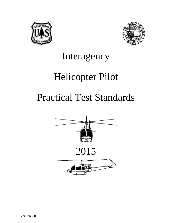



# Interagency

# Helicopter Pilot

# Practical Test Standards

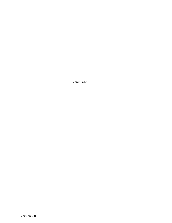Blank Page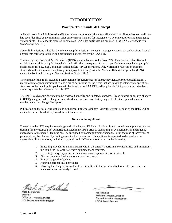# **INTRODUCTION**

### **Practical Test Standards Concept**

<span id="page-2-0"></span>A Federal Aviation Administration (FAA) commercial pilot certificate or airline transport pilot-helicopter certificate has been identified as the minimum pilot performance standard for interagency Government pilots and interagency vendor pilots. The standards required to obtain an FAA pilot certificate are outlined in the FAA's *Practical Test Standards* (FAA PTS).

Some flight missions called for by interagency pilot mission statements, interagency contracts, and/or aircraft rental agreements call for pilot skills and proficiency not covered by the FAA PTS.

The *Interagency Practical Test Standards* (IPTS) is a supplement to the FAA PTS. This standard identifies and establishes the additional pilot knowledge and skills that are expected for each specific interagency helicopter pilot qualification for day, night, and night vision goggle (NVG) operations. Any Variation or Deviation from the standards in this document must have prior approval in writing from the National Helicopter Specialist (OAS) and/or the National Helicopter Standardization Pilot (USFS).

The content of this IPTS includes a combination of requirements for interagency helicopter pilot qualification, a matrix of interagency mission titles, and a set of definitions for the terms that are unique to interagency operations. Any task not included in this package will be found in the FAA PTS. All applicable FAA practical test standards are incorporated by reference into this IPTS.

The IPTS is a dynamic document to be reviewed annually and updated as needed. Please forward suggested changes to IPTS@nbc.gov. When changes occur, the document's revision history log will reflect an updated version number, date, and change description.

Publication on the following website is authorized: http://oas.doi.gov. Only the current version of the IPTS will be available online. In addition, bound format is authorized.

#### **Notice to the Applicant**

The tasks in the IPTS require knowledge and skills beyond FAA certification. It is expected that applicants procure training for any desired pilot authorization listed in the IPTS prior to attempting an evaluation by an interagencyapproved pilot inspector. Training shall be furnished by company training personnel or in the case of Government personnel may be obtained by finding a mentor for these tasks. The applicant is expected to demonstrate the appropriate pilot operations, including day, night and NVG operations based on the following:

- 1. Executing procedures and maneuvers within the aircraft's performance capabilities and limitations, including the use of the aircraft's equipment and systems.
- 2. Executing emergency procedures and maneuvers appropriate to the aircraft.
- 3. Piloting the aircraft with smoothness and accuracy.
- 4. Exercising good judgment.
- 5. Applying aeronautical knowledge.
- 6. Showing that the pilot is master of the aircraft, with the successful outcome of a procedure or maneuver never seriously in doubt.

Batteria

Mark L. Bathrick Director **Office of Aviation Services** U.S. Department of the Interior

Art Hinaman **Assistant Director, Aviation** Fire and Aviation Management **USDA Forest Service**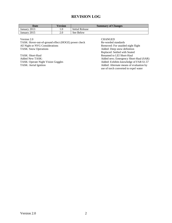# **REVISION LOG**

| Date         | Version | <b>Summary of Changes</b> |
|--------------|---------|---------------------------|
| January 2013 | $1.0\,$ | Initial Release           |
| January 2015 | 2.0     | See Below                 |

Version 2.0 CHANGED

TASK: Hover-out-of-ground effect (HOGE) power check Re-worded standards<br>All Night or NVG Considerations Removed: For unaide All Night or NVG Considerations Removed: For unaided night flight TASK: Snow Operations Added: Deep snow definition

TASK: Short-Haul Renamed to LEI Short-Haul

Added: Deep snow definition Replaced: Settled with Seated Added New TASK:<br>
TASK: Operate Night Vision Goggles<br>
TASK: Operate Night Vision Goggles<br>
Added: Exhibits knowledge of FAR 61.57 TASK: Operate Night Vision Goggles<br>
TASK: Aerial Ignition<br>
TASK: Aerial Ignition<br>
Added: Alternate means of evaluation by Added: Alternate means of evaluation by use of torch converted to expel water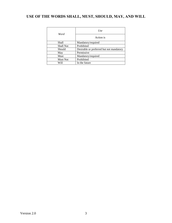# <span id="page-4-0"></span>**USE OF THE WORDS SHALL, MUST, SHOULD, MAY, AND WILL**

| Word             | Use                                      |
|------------------|------------------------------------------|
|                  | Action is                                |
| Shall            | Mandatory/required                       |
| <b>Shall Not</b> | Prohibited                               |
| Should           | Desirable or preferred but not mandatory |
| May              | Permissive                               |
| Must             | Mandatory/required                       |
| Must Not         | Prohibited                               |
| Will             | In the future                            |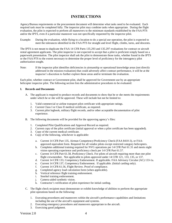# **INSTRUCTIONS**

<span id="page-5-0"></span>Agency/Bureau requirements or the procurement document will determine what tasks need to be evaluated. Each required task must be completed fully. The inspector pilot may combine tasks when appropriate. During the flight evaluation, the pilot is expected to perform all maneuvers to the minimum standards established by the FAA PTS and/or the IPTS, even if a particular maneuver was not specifically requested by the inspector pilot.

Example: During the evaluation, while flying to a location to do a special use operation, the pilot is expected to meet the tolerances identified in the FAA PTS for straight and level flight, climbs, turns, and descents.

The IPTS is not meant to duplicate the FAA 14 CFR Parts 135.293 and 135.297 evaluations for contract or aircraft rental agreement applicants. The pilot inspector is not expected to accept that a pilot is proficient simply based on a paperwork presentation. The pilot inspector shall ask the pilot to demonstrate those tasks, whether found in the IPTS or the FAA PTS to the extent necessary to determine the proper level of proficiency for the interagency pilot authorization sought.

Note: If the inspector pilot identifies deficiencies in airmanship or operational knowledge areas (not directly addressed in the mission evaluation) that could adversely affect contract performance, it will be at the inspector's discretion to further explore those areas and/or terminate the evaluation.

Each pilot, whether contract or Government pilot, shall be approved for Government use by an appropriate helicopter inspector pilot. The following section lists the administrative procedures to be evaluated:

#### **I. Records and Documents**

- A. The applicant is required to produce records and documents to show that he or she meets the requirements under which he or she will be approved. These will include but not be limited to:
	- 1. Valid commercial or airline transport pilot certificate with appropriate ratings.
	- 2. Current Class I or Class II medical certificate, as required.
	- 3. Current pilot logbook, military flight records, and/or other acceptable documentation of pilot experience.
- B. The following documents will be provided for the approving agency's files:
	- 1. Completed Pilot Qualifications and Approval Record as required.
	- 2. Current copy of the pilot certificate (initial approval or when a pilot certificate has been upgraded).
	- 3. Copy of the current medical certificate.
	- 4. Copy of the following, whichever is applicable:
		- a. Current 14 CFR Part 135, Airman Competency/Proficiency Check (FAA 8410-3), or FAAapproved equivalent form. Required for all vendor pilots except restricted category helicopters.
		- b. Completes additional training required for NVG operations per 14 CFR Part 61.31 and meets night vision operating experience and proficiency check per 14 CFR Part 61.57.
		- c. Current 14 CFR Part 61.58, Proficiency Check. For pilots of aircraft requiring more than one pilot flight crewmember. Not applicable to pilots approved under 14 CFR 121, 133, 135, or 137.
		- d. Current 14 CFR 133, Competency Endorsement. If applicable. FAA Advisory Circular (AC) 133-1a.
		- e. Current 14 CFR 137, Competency Endorsement. If applicable. (Initial carding only).
		- f. Current 14 CFR 61.56, Flight Review. Proof of compliance.
		- g. Completed agency load calculation form (when applicable).
		- h. Vertical reference flight training endorsement.
		- i. Snorkel training endorsement.
		- j. Camera-aided synthetic vision.
		- k. Contractor's verification of pilot experience for initial carding.
- C. The flight check recipient must demonstrate or exhibit knowledge of abilities to perform the appropriate pilot operations based on the following:
	- 1. Executing procedures and maneuvers within the aircraft's performance capabilities and limitations including the use of the aircraft's equipment and systems.
	- 2. Executing emergency procedures and maneuvers appropriate to the aircraft.
	- 3. Exercising good judgment.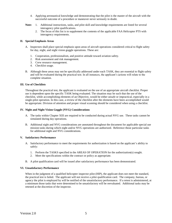- 4. Applying aeronautical knowledge and demonstrating that the pilot is the master of the aircraft with the successful outcome of a procedure or maneuver never seriously in doubt.
- Note: 1. Additional instructions, tasks, and pilot skill and knowledge requirements are listed for several interagency pilot qualifications.
	- 2. The focus of this list is to supplement the contents of the applicable FAA Helicopter PTS with interagency requirements.

#### **II. Special Emphasis Areas**

- A. Inspectors shall place special emphasis upon areas of aircraft operations considered critical to flight safety for day, night, and night vision goggle operations. These are:
	- 1. Cooperation, professionalism, and positive attitude toward aviation safety.
	- 2. Risk assessment and risk management.
	- 3. Crew resource management.
	- 4. Checklist usage.
- B. Although these areas may not be specifically addressed under each TASK, they are essential to flight safety and will be evaluated during the practical test. In all instances, the applicant's actions will relate to the complete situation.

#### **III. Use of Checklists**

Throughout the practical test, the applicant is evaluated on the use of an appropriate aircraft checklist. Proper use is dependent upon the specific TASK being evaluated. The situation may be such that the use of the checklist, while accomplishing elements of an Objective, would be either unsafe or impractical, especially in a single-pilot operation. In this case, a review of the checklist after the elements have been accomplished would be appropriate. Division of attention and proper visual scanning should be considered when using a checklist.

#### **IV. Night and Night Vision Goggle (NVG) Considerations**

- A. The tasks within Chapter XIII are required to be conducted during actual NVG use. These tasks cannot be simulated during day operations.
- B. Additional night and NVG considerations are annotated throughout the document for applicable special use mission tasks during which night and/or NVG operations are authorized. Reference those particular tasks for additional night and NVG considerations.

#### **V. Satisfactory Performance**

- A. Satisfactory performance to meet the requirements for authorization is based on the applicant's ability to safely:
	- 1. Perform the TASKS specified in the AREAS OF OPERATION for the authorization(s) sought.
	- 2. Meet the specifications within the contract or policy as appropriate.
- B. A pilot qualification card will be issued after satisfactory performance has been demonstrated.

#### **VI. Unsatisfactory Performance**

When in the judgment of a qualified helicopter inspector pilot (HIP), the applicant does not meet the standard, the practical test is failed. The applicant will not receive a pilot qualification card. The company, bureau, or agency the pilot is employed by will be notified of the unsatisfactory performance. If a retest is administered, at a minimum those tasks that were determined to be unsatisfactory will be reevaluated. Additional tasks may be retested at the discretion of the inspector.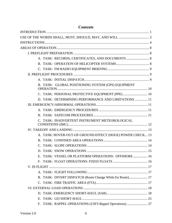| B. TASK: GLOBAL POSITIONING SYSTEM (GPS) EQUIPMENT        |  |
|-----------------------------------------------------------|--|
| C. TASK: PERSONAL PROTECTIVE EQUIPMENT (PPE)  10          |  |
| D. TASK: DETERMINING PERFORMANCE AND LIMITATIONS  11      |  |
|                                                           |  |
|                                                           |  |
|                                                           |  |
| C. TASK: INADVERTENT INSTRUMENT METEOROLOGICAL            |  |
|                                                           |  |
| A. TASK: HOVER-OUT-OF-GROUND-EFFECT (HOGE) POWER CHECK 13 |  |
|                                                           |  |
|                                                           |  |
|                                                           |  |
| E. TASK: VESSEL OR PLATFORM OPERATIONS: OFFSHORE 16       |  |
|                                                           |  |
|                                                           |  |
|                                                           |  |
| B. TASK: DIVERT DISPATCH (Route Change While En Route) 17 |  |
|                                                           |  |
|                                                           |  |
|                                                           |  |
|                                                           |  |
| TASK: RAPPEL OPERATIONS (USFS Rappel Operations) 27<br>F. |  |

# **Contents**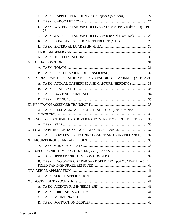| TASK: WATER/RETARDANT DELIVERY (Bucket-Belly and/or Longline)<br>$\mathbf{I}$ .<br>28 |  |
|---------------------------------------------------------------------------------------|--|
| J. TASK: WATER/RETARDANT DELIVERY (Snorkel/Fixed Tank) 28                             |  |
|                                                                                       |  |
|                                                                                       |  |
|                                                                                       |  |
|                                                                                       |  |
|                                                                                       |  |
|                                                                                       |  |
|                                                                                       |  |
| VIII. AERIAL CAPTURE ERADICATION AND TAGGING OF ANIMALS (ACETA) 33                    |  |
| A. TASK: ANIMAL GATHERING AND CAPTURE (HERDING)  33                                   |  |
|                                                                                       |  |
|                                                                                       |  |
|                                                                                       |  |
|                                                                                       |  |
| A. TASK: HELITACK/PASSENGER TRANSPORT (Qualified Non-                                 |  |
|                                                                                       |  |
| X. SINGLE-SKID, TOE-IN AND HOVER EXIT/ENTRY PROCEDURES (STEP)  36                     |  |
|                                                                                       |  |
|                                                                                       |  |
| A. TASK: LOW LEVEL (RECONNAISSANCE AND SURVEILLANCE) 37                               |  |
|                                                                                       |  |
|                                                                                       |  |
|                                                                                       |  |
|                                                                                       |  |
| B. TASK: NVG WATER/RETARDANT DELIVERY (GROUND-FILLABLE                                |  |
|                                                                                       |  |
|                                                                                       |  |
|                                                                                       |  |
|                                                                                       |  |
|                                                                                       |  |
|                                                                                       |  |
|                                                                                       |  |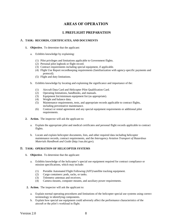# **AREAS OF OPERATION**

# **I. PREFLIGHT PREPARATION**

#### <span id="page-9-2"></span><span id="page-9-1"></span><span id="page-9-0"></span>A. **TASK: RECORDS, CERTIFICATES, AND DOCUMENTS**

- **1. Objective.** To determine that the applicant:
	- a. Exhibits knowledge by explaining:
		- (1) Pilot privileges and limitations applicable to Government flights.
		- (2) Personal pilot logbook or flight record.
		- (3) Contract requirements including special equipment, if applicable.
		- (4) Flight Use Report recordkeeping requirements (familiarization with agency-specific payments and protocol).
		- (5) Flight and duty limitations.
	- b. Exhibits knowledge by locating and explaining the significance and importance of the:
		- (1) Aircraft Data Card and Helicopter Pilot Qualification Card.
		- (2) Operating limitations, handbooks, and manuals.
		- (3) Equipment list/minimum equipment list (as appropriate).
		- (4) Weight and balance data.
		- (5) Maintenance requirements, tests, and appropriate records applicable to contract flights, including preventative maintenance.
		- (6) Contract or rental agreement and any special equipment requirements or additional pilot requirements.
- **2. Action.** The inspector will ask the applicant to:
	- a. Explain the appropriate pilot and medical certificates and personal flight records applicable to contract flights.
	- b. Locate and explain helicopter documents, lists, and other required data including helicopter maintenance records, contract requirements, and the *Interagency Aviation Transport of Hazardous Materials Handbook and Guide* (http://oas.doi.gov).

#### <span id="page-9-3"></span>B. **TASK: OPERATION OF HELICOPTER SYSTEMS**

- **1. Objective**. To determine that the applicant:
	- a. Exhibits knowledge of the helicopter's special use equipment required for contract compliance or mission specifications, which may include:
		- (1) Portable Automated Flight Following (AFF)/satellite tracking equipment.
		- (2) Cargo containers: pods, racks, or tanks.
		- (3) Telemetry antennas and receivers.
		- (4) Camera mounts, computer mounts, and auxiliary power requirements.
- **2. Action.** The inspector will ask the applicant to:
	- a. Explain normal operating procedures and limitations of the helicopter special use systems using correct terminology in identifying components.
	- b. Explain how special use equipment could adversely affect the performance characteristics of the aircraft or the pilot's workload in flight.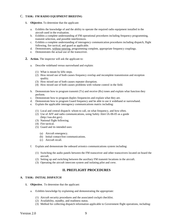#### <span id="page-10-0"></span>C. **TASK: FM RADIO EQUIPMENT BRIEFING**

- **1. Objective.** To determine that the applicant:
	- a. Exhibits the knowledge of and the ability to operate the required radio equipment installed in the aircraft used in the evaluation.
	- b. Exhibits a complete understanding of FM operational procedures including frequency programming, transmit selection, and possible interferences.
	- c. Exhibits a complete understanding of interagency communication procedures including dispatch, flight following, fire tactical, and guard as applicable.
	- d. Demonstrates, without tutoring, programming complete, appropriate frequency couplings.
	- e. Demonstrates the actual use of the transceiver.
- **2. Action.** The inspector will ask the applicant to:
	- a. Describe wideband versus narrowband and explain:
		- (1) What is meant by kHz steps.
		- (2) How mixed use of both causes frequency overlap and incomplete transmission and reception quality.
		- (3) How mixed use of both causes repeater disruption.
		- (4) How mixed use of both causes problems with volume control in the field.
	- b. Demonstrate how to program transmit  $(Tx)$  and receive  $(Rx)$  tones and explain what function they perform.
	- c. Demonstrate how to program duplex frequencies and explain what they are.
	- d. Demonstrate how to program Guard frequency and be able to use it wideband or narrowband.
	- e. Explain the applicable interagency communications matrix including:
		- (1) Local and central dispatch: whom to call, on what frequency, and how often.
		- (2) Use of AFF and radio communications, using Safety Alert IA-06-05 as a guide (http://oas.doi.gov).
		- (3) National flight following.
		- (4) Fire tactical.
		- (5) Guard and its intended uses:
			- (a) Aircraft emergency.
			- (b) Initial contact/lost communications.
			- (c) Aircraft recall.
	- f. Explain and demonstrate the onboard avionics communications system including:
		- (1) Switching the audio panels between the FM transceiver and other transceivers located on board the aircraft.
		- (2) Setting up and switching between the auxiliary FM transmit locations in the aircraft.
		- (3) Operating the aircraft intercom system and isolating pilot and crew.

#### **II. PREFLIGHT PROCEDURES**

#### <span id="page-10-2"></span><span id="page-10-1"></span>**A. TASK: INITIAL DISPATCH**

- **1. Objective.** To determine that the applicant:
	- a. Exhibits knowledge by explaining and demonstrating the appropriate:
		- (1) Aircraft security procedures and the associated cockpit checklist.
		- (2) Availability, standby, and readiness status.
		- (3) Method for collecting dispatch information applicable to Government flight operations, including: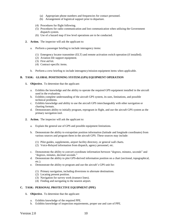- (a) Appropriate phone numbers and frequencies for contact personnel.
- (b) Arrangement of logistical support prior to departure.
- (4) Procedures for flight following.
- (5) Procedures for radio communication and lost communication when utilizing the Government dispatch system.
- (6) Use of a hazard map if low level operations are to be conducted.
- **2. Action.** The inspector will ask the applicant to:
	- a. Perform a passenger briefing to include interagency items:
		- (1) Emergency locator transmitter (ELT) and remote activation switch operation (if installed).
		- (2) Aviation life support equipment.
		- (3) First aid kit.
		- (4) Contract-specific items.
	- b. Perform a crew briefing to include interagency/mission equipment items when applicable.

#### <span id="page-11-0"></span>**B. TASK: GLOBAL POSITIONING SYSTEM (GPS) EQUIPMENT OPERATION**

- **1. Objective.** To determine that the applicant:
	- a. Exhibits the knowledge and the ability to operate the required GPS equipment installed in the aircraft used in the evaluation.
	- b. Exhibits complete understanding of the aircraft GPS system, its uses, limitations, and possible technical problems.
	- c. Exhibits knowledge and ability to use the aircraft GPS interchangeably with other navigation or charting formats.
	- d. Demonstrates ability to initially program, reprogram in flight, and use the aircraft GPS system as the primary navigation tool.
- **2. Action.** The inspector will ask the applicant to:
	- a. Explain the general use of GPS and possible equipment limitations.
	- b. Demonstrate the ability to extrapolate position information (latitude and longitude coordinates) from various sources and program them in the aircraft GPS. These sources may include:
		- (1) Pilot guides, supplements, airport facility directory, or general wall charts.
		- (2) Voice-Relayed information from dispatch, agency personnel, etc.
	- c. Demonstrate the ability to convert coordinate information between "degrees, minutes, seconds" and "degrees, minutes, decimal seconds."
	- d. Demonstrate the ability to plot GPS-derived information position on a chart (sectional, topographical, etc.).
	- e. Demonstrate the ability to program and use the aircraft's GPS unit for:
		- (1) Primary navigation, including diversions to alternate destinations.
		- (2) Locating present position.
		- (3) Navigation for survey work (transect lines).
		- (4) Finding and navigating to the nearest airport.

#### <span id="page-11-1"></span>**C. TASK: PERSONAL PROTECTIVE EQUIPMENT (PPE)**

- **1. Objective.** To determine that the applicant:
	- a. Exhibits knowledge of the required PPE.
	- b. Exhibits knowledge of inspection requirements, proper use and care of PPE.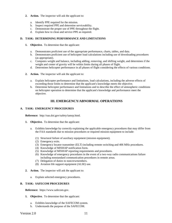- **2. Action.** The inspector will ask the applicant to:
	- a. Identify PPE required for the mission.
	- b. Inspect required PPE and determine serviceability.
	- c. Demonstrate the proper use of PPE throughout the flight.
	- d. Explain how to clean and service PPE as required.

#### <span id="page-12-0"></span>**D. TASK: DETERMINING PERFORMANCE AND LIMITATIONS**

- **1. Objective.** To determine that the applicant:
	- a. Demonstrates proficient use of the appropriate performance, charts, tables, and data.
	- b. Demonstrates proficient use of helicopter load calculations including use of downloading procedures (as appropriate).
	- c. Computes weight and balance, including adding, removing, and shifting weight, and determines if the weight and center of gravity will be within limits during all phases of flight.
	- d. Determines helicopter performance in all phases of flight considering the effects of various conditions.
- **2. Action.** The inspector will ask the applicant to:
	- a. Explain helicopter performance and limitations, load calculations, including the adverse effects of exceeding those limits to determine that the applicant's knowledge meets the objective.
	- b. Determine helicopter performance and limitations and to describe the effect of atmospheric conditions on helicopter operation to determine that the applicant's knowledge and performance meet the objective.

### **III. EMERGENCY/ABNORMAL OPERATIONS**

#### <span id="page-12-2"></span><span id="page-12-1"></span>**A. TASK: EMERGENCY PROCEDURES**

**Reference:** http://oas.doi.gov/safety/iamrp.html.

- **1. Objective.** To determine that the applicant:
	- a. Exhibits knowledge by correctly explaining the applicable emergency procedures that may differ from the FAA standards due to mission procedures or required mission equipment to include:
		- (1) Structural failure of auxiliary equipment (mission equipment).
		- (2) Emergency exits.
		- (3) Emergency locator transmitter (ELT) including remote switching and 406 MHz procedures.
		- (4) Knowledge of MISHAP notification form.
		- (5) Knowledge of MISHAP reporting requirements and procedures.
		- (6) Knowledge of emergency procedures in the event of a two-way radio communications failure including nonstandard communication procedures in remote areas.
		- (7) Delegation of duties to noncrewmembers.
		- (8) Aviation life support equipment (ALSE) use.
- **2. Action.** The inspector will ask the applicant to:
	- a. Explain selected emergency procedures.

#### <span id="page-12-3"></span>**B. TASK: SAFECOM PROCEDURES**

**Reference:** https://www.safecom.gov.

- **1. Objective.** To determine that the applicant:
	- a. Exhibits knowledge of the SAFECOM system.
	- b. Understands the purpose of the SAFECOM.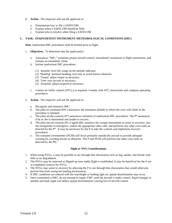- **2. Action.** The inspector will ask the applicant to:
	- a. Demonstrate how to file a SAFECOM.
	- b. Explain when a SAFECOM should be filed.
	- c. Explain who to involve when filing a SAFECOM.

#### <span id="page-13-0"></span>**C. TASK: INADVERTENT INSTRUMENT METEOROLOGICAL CONDITIONS (IMC)**

**Note**: Inadvertent IMC procedures shall be briefed prior to flight.

- 1. **Objectives.** To determine that the applicant(s):
	- a. Announces "IMC," maintains proper aircraft control, immediately transitions to flight instruments, and initiates an immediate climb.
	- b. Initiate inadvertent IMC procedures.
		- (1) Attitude: level the wings on the attitude indicator.
		- (2) Heading: maintain heading; turn only to avoid known obstacles.
		- (3) Torque: adjust torque as necessary.
		- (4) Trim: trim aircraft as necessary.
		- (5) Airspeed: adjust airspeed as necessary.
	- c. Contact air traffic control (ATC),] as required. Comply with ATC instructions and company operating procedures.
- 2. **Action.** The inspector will ask the applicant to:
	- a. Recognize and announce IMC.
	- b. The pilot-in-command (PIC) announces the minimum altitude to which the crew will climb as the procedure is initiated.
	- c. The pilot-on-the-controls  $(P^*)$  announces initiation of inadvertent IMC procedures. The  $P^*$  announces if he or she is disoriented and unable to recover.
	- d. The pilot-not-on-controls (P), if applicable, monitors the cockpit instruments to assist in recovery, sets the transponder to emergency, makes the appropriate radio calls, and performs any other crew tasks as directed by the  $P^*$ . It may be necessary for the P to take the controls and implement recovery procedures.
	- e. The nonrated crewmember (NCM) will focus primarily outside the aircraft to provide adequate warning for avoiding terrain or obstacles. The P and NCM will perform any other crew tasks as directed by the PIC.

#### **Night or NVG Considerations**

- 1. When using NVGs, it may be possible to see through thin obscuration such as fog, smoke, and drizzle with little or no degradation.
- 2. The NVGs may be removed or flipped up once stable flight is established. It may be beneficial for the P not to completely remove his NVGs.
- 3. The NVGs may assist in recovery by allowing the P to see through thin obscuration that would otherwise prevent him from seeing the landing environment.
- 4. If IMC conditions are entered with the searchlight or landing light on, spatial disorientation may occur.
- 5. Once committed to IMC, do not attempt to regain VMC until the aircraft is under control. Rapid changes in attitude and bank angle can induce spatial disorientation causing loss of aircraft control.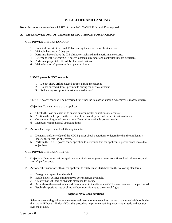# **IV. TAKEOFF AND LANDING**

<span id="page-14-0"></span>**Note:** Inspectors must evaluate TASKS A through C. TASKS D through F as required.

#### <span id="page-14-1"></span>**A. TASK: HOVER-OUT-OF-GROUND-EFFECT (HOGE) POWER CHECK**

#### **OGE POWER CHECK: TAKEOFF**

- 1. Do not allow drift to exceed 10 feet during the ascent or while at a hover.
- 2. Maintain heading  $\pm 10$  degrees.
- 3. Perform a hover above the IGE altitude established in the performance charts.
- 4. Determine if the aircraft OGE power, obstacle clearance and controllability are sufficient.
- 5. Perform a proper takeoff, safely clear obstructions
- 6. Maintains aircraft power within operating limits.

#### **If OGE power is NOT available:**

- 1. Do not allow drift to exceed 10 feet during the descent.
- 2. Do not exceed 300 feet per minute during the vertical descent.
- 3. Reduce payload prior to next attempted takeoff.

The OGE power check will be performed for either the takeoff or landing, whichever is most restrictive.

- 1. **Objective.** To determine that the applicant:
	- a. Checks the load calculation to ensure environmental conditions are accurate.
	- b. Positions the helicopter in the vicinity of the takeoff point and in the direction of takeoff.
	- c. Conducts an in-ground power check. Determines available power margin.
	- d. Maintains within normal operating limits.
- 2. **Action.** The inspector will ask the applicant to:
	- a. Demonstrate knowledge of the HOGE power check operations to determine that the applicant's knowledge meets the objectives.
	- b. Perform the HOGE power check operation to determine that the applicant's performance meets the objectives.

#### **OGE POWER CHECK: ARRIVAL**

- 1. **Objective.** Determine that the applicant exhibits knowledge of current conditions, load calculation, and aircraft performance.
- 2. **Action.** The inspector will ask the applicant to establish an OGE hover to the following standards:
	- a. Zero ground speed into the wind.
	- b. Stable hover, verifies minimum10% power margin available.
	- c. Greater than 200 feet of obstacle clearance for escape.
	- d. At or above the elevation in conditions similar to the site where OGE maneuvers are to be performed.
	- e. Establish a positive rate of climb without transitioning to directional flight.

#### **Night or NVG Considerations**

1. Select an area with good ground contrast and several reference points that are of the same height or higher than the OGE hover. Under NVGs, this procedure helps in maintaining a constant altitude and position over the ground.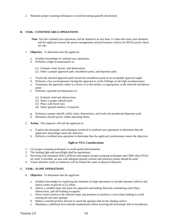2. Maintain proper scanning techniques to avoid becoming spatially disoriented.

#### <span id="page-15-0"></span>**B. TASK: CONFINED AREA OPERATIONS**

**Note:** Aircraft confined area operations will be limited to no less than 1½ times the main rotor diameter and the applicant ensures the power management and performance criteria for HOGE power check are met.

- 1. **Objective.** To determine that the applicant:
	- a. Exhibits knowledge of confined area operations.
	- b. Performs a high reconnaissance to:
		- (1) Evaluate wind, terrain, and obstructions.
		- (2) Select a proper approach path, touchdown point, and departure path.
	- c. Tracks the selected approach path toward the touchdown point at an acceptable approach angle.
	- d. Performs a low reconnaissance during the approach to verify findings on the high reconnaissance.
	- e. Terminates the approach, either to a hover or to the surface, as appropriate, at the selected touchdown point.
	- f. Performs a ground reconnaissance to:
		- (1) Evaluate wind and obstructions.
		- (2) Select a proper takeoff point.
		- (3) Plan a safe hover taxi.
		- (4) Select ground markers, if required.
	- g. Performs a proper takeoff, safely clears obstructions, and tracks the preselected departure path.
	- h. Maintains aircraft power within operating limits.
- 2. **Action.** The inspector will ask the applicant to:
	- a. Explain the principles and techniques involved in confined area operations to determine that the applicant's knowledge meets the objective.
	- b. Perform a confined area operation to determine that the applicant's performance meets the objective.

#### **Night or NVG Considerations**

- 1. Use proper scanning techniques to avoid spatial disorientation.
- 2. The landing light and searchlight shall be operational.
- 3. Hovering with minimum drift is difficult and requires proper scanning techniques and CRM when NVGs are used. If possible, an area with adequate ground contrast and reference points should be used.
- 4. Visual obstacles (such as shadows) will be treated the same as physical obstacles.

#### <span id="page-15-1"></span>**C. TASK: SLOPE OPERATIONS**

- **1. Objective.** To determine that the applicant:
	- a. Exhibits knowledge by explaining the elements of slope operations to include dynamic rollover and lateral center of gravity (CG) offset.
	- b. Selects a suitable slope and plans the approach and landing direction considering wind effect, obstructions, and off-loading occupants.
	- c. Hover taxies slowly to the selected slope and positions to perform a cross-slope landing to avoid turning the tail rotor upslope.
	- d. Makes a smooth positive descent to touch the upslope skid on the sloping surface.
	- e. Maintains a stabilized level attitude momentarily before lowering the downslope skid to touchdown.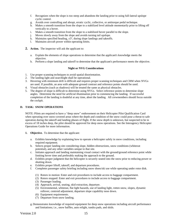- f. Recognizes when the slope is too steep and abandons the landing prior to using full-lateral upslope cyclic control.
- g. Avoids over controlling and abrupt, erratic cyclic, collective, or antitorque pedal technique.
- h. Makes a smooth transition from the slope to a stabilized level attitude momentarily prior to lifting off vertically to a hover.
- i. Makes a smooth transition from the slope to a stabilized hover parallel to the slope.
- j. Moves slowly away from the slope and avoids turning tail upslope.
- k. Maintains specified heading,  $\pm 5^{\circ}$ , during slope landings and takeoffs.
- l. Maintains aircraft power within operating limits.
- **2. Action.** The inspector will ask the applicant to:
	- a. Explain the elements of slope operations to determine that the applicant's knowledge meets the objective.
	- b. Perform a slope landing and takeoff to determine that the applicant's performance meets the objective.

#### **Night or NVG Considerations**

- 1. Use proper scanning techniques to avoid spatial disorientation.
- 2. The landing light and searchlight shall be operational.
- 3. Hovering with minimum drift is difficult and requires proper scanning techniques and CRM when NVGs are used. If possible, an area with adequate ground contrast and reference points should be used.
- 4. Visual obstacles (such as shadows) will be treated the same as physical obstacles.
- 5. The degree of slope is difficult to determine using NVGs. Select reference points to determine slope angles. Determine the need for artificial illumination prior to commencing the landing. If successful completion of the landing is doubtful at any time, abort the landing. All crewmembers should focus outside the cockpit.

#### <span id="page-16-0"></span>**D. TASK: SNOW OPERATIONS**

NOTE: Pilots are required to have a "deep snow" endorsement on their Helicopter Pilot Qualification Card when operating over snow-covered areas where the depth and condition of the snow could pose a threat to safe operation during the takeoff and landing phases of flight. If the snow depth is unknown, but suspected to be in excess of 18 inches deep, the pilot should be approved for deep snow operations. See the Interagency Helicopter Operations Guide for more information.

- **1. Objective.** To determine that the applicant:
	- a. Exhibits knowledge by explaining how to operate a helicopter safely in snow conditions, including required equipment.
	- b. Selects proper landing site considering slope, hidden obstructions, snow conditions (whiteout potential), and any other variables unique to that site.
	- c. Initiates approach and landing maintaining visual contact with the ground/ground reference point while limiting hover time and preferably making the approach to the ground.
	- d. Exhibits proper judgment that the helicopter is securely seated into the snow prior to reducing power or shutting down.
	- e. Exhibits proper liftoff, takeoff, and departure procedures.
	- f. Completes passenger safety briefing including snow shoes/ski use while operating under rotor disk.
		- (1) Rotors in motion: Enter and exit procedures to include access to baggage compartment.
		- (2) Rotors stopped: Enter and exit procedures to include access to baggage compartment.
		- (3) Passenger loading.
		- (4) Approach, arrival, seating, skid extraction, departure.
		- (5) Environmental, whiteout, flat light hazards, use of landing light, rotten snow, slopes, dynamic rollover, centroid adjustment, departure slope capability nose down.
		- (6) Equipment requirements.
		- (7) Departure from snow landing.
	- g. Demonstrates knowledge of required equipment for deep snow operations including aircraft performance and limitations; i.e., snow baffles, auto relight, tundra pads, and skids.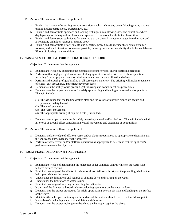- **2. Action.** The inspector will ask the applicant to:
	- a. Explain the hazards of operating in snow conditions such as whiteouts, power/blowing snow, sloping terrain, hidden obstructions, crusted snow, etc.
	- b. Explain and demonstrate approach and landing techniques into blowing snow and conditions where depth perception is in question. Execute an approach to the ground with limited hover time.
	- c. Explain and demonstrate techniques for ensuring that the aircraft is securely seated into the snow and is not sitting on hidden hazards or crusted snow.
	- d. Explain and demonstrate liftoff, takeoff, and departure procedures to include stuck skids, dynamic rollover, and wind direction. Whenever possible, out-of-ground effect capability should be available to lift out of blowing snow conditions.

#### <span id="page-17-0"></span>**E. TASK: VESSEL OR PLATFORM OPERATIONS: OFFSHORE**

- **1. Objective.** To determine that the applicant:
	- a. Exhibits knowledge by explaining the elements of offshore vessel and/or platform operations.
	- b. Performs a thorough preflight inspection of all equipment associated with the offshore operation including fixed or pop out floats, survival equipment, and personal flotation devices.
	- c. Performs a thorough preflight briefing of all passengers and crew. The briefing will include sequence of events, exit procedures, and emergency procedures.
	- d. Demonstrates the ability to use proper flight following and communications procedures.
	- e. Demonstrates the proper procedures for safely approaching and landing on a vessel and/or platform. This will include:
		- (1) The assurance that the landing deck is clear and the vessel or platform cranes are secure and present no safety hazard.
		- (2) The wind evaluation.
		- (3) The vessel movement.
		- (4) The appropriate arming of pop out floats (if installed).
	- f. Demonstrates proper procedures for safely departing a vessel and/or platform. This will include wind, in- or out-of-ground effect consideration, vessel movement, and disarming of popout floats.
- **2. Action.** The inspector will ask the applicant to:
	- a. Demonstrate knowledge of offshore vessel and/or platform operations as appropriate to determine that the applicant's knowledge meets the objective.
	- b. Perform offshore vessel and/or platform operations as appropriate to determine that the applicant's performance meets the objective.

#### <span id="page-17-1"></span>**F. TASK: FLOAT OPERATIONS: FIXED FLOATS**

- **1. Objective.** To determine that the applicant:
	- a. Exhibits knowledge of maintaining the helicopter under complete control while on the water with reduced surface friction.
	- b. Exhibits knowledge of the effects of main rotor thrust, tail rotor thrust, and the prevailing wind on the helicopter while on the water.
	- c. Understands the limitations and hazards of shutting down and starting on the water.
	- d. Understands the limitations to water taxiing.
	- e. Exhibits knowledge of mooring or beaching the helicopter.
	- f. Is aware of the downwind hazards while conducting operations on the water surface.
	- g. Demonstrates the proper procedures for safely approaching over an obstacle and landing on the surface of the water.
	- h. Maintains the helicopter stationary on the surface of the water within 1 foot of the touchdown point.
	- i. Is capable of conducting water taxi with left and right turns.
	- j. Demonstrates the proper technique for beaching the helicopter against the shore.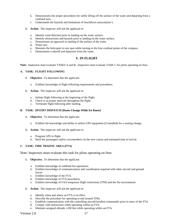- k. Demonstrates the proper procedures for safely lifting off the surface of the water and departing from a confined area.
- l. Understands the hazards and limitations of touchdown autorotation's.
- **2. Action.** The inspector will ask the applicant to:
	- a. Identify wind direction prior to landing on the water surface.
	- b. Identify obstructions and hazards prior to landing on the water surface.
	- c. Demonstrate an approach to landing of the surface of the water.
	- d. Water taxi.
	- e. Maintain the helicopter in one spot while turning to the four cardinal points of the compass.
	- f. Demonstrate a takeoff and departure from the water.

## **V. IN FLIGHT**

<span id="page-18-0"></span>**Note:** Inspectors must evaluate TASKS A and B. Inspectors must evaluate TASK C for pilots operating on fires.

#### <span id="page-18-1"></span>**A. TASK: FLIGHT FOLLOWING**

- **1. Objective.** To determine that the applicant:
	- a. Exhibits knowledge of flight following requirements and procedures.
- **2. Action.** The inspector will ask the applicant to:
	- a. Initiate flight following at the beginning of the flight.
	- b. Check in at proper intervals throughout the flight.
	- c. Terminate flight following after landing.

#### <span id="page-18-2"></span>**B. TASK: DIVERT DISPATCH (Route Change While En Route)**

- **1. Objective.** To determine that the applicant:
	- a. Exhibits the knowledge and ability to utilize GPS equipment (if installed) for a routing change.
- **2. Action.** The inspector will ask the applicant to:
	- a. Program GPS in flight.
	- b. Brief the passengers and/or crewmembers on the new course and estimated time of arrival.

#### <span id="page-18-3"></span>**C. TASK: FIRE TRAFFIC AREA (FTA)**

Note: Inspectors must evaluate this task for pilots operating on fires.

- **1. Objective.** To determine that the applicant:
	- a. Exhibits knowledge of wildland fire operations.
	- b. Exhibits knowledge of communications and coordination required with other aircraft and ground forces.
	- c. Exhibits knowledge of the FTA.
	- d. Exhibits knowledge of FTA procedures.
	- e. Exhibits knowledge of FAA temporary flight restrictions (TFR) and the fire environment.
- **2. Action.** The inspector will ask the applicant to:
	- a. Identify when and where an FTA is in effect.
	- b. Describe the procedure for operating in and around TFRs.
	- c. Establish communication with the controlling aircraft/incident commander prior to entry of the FTA.
	- d. Comply with instructions while operating within an FTA.
	- e. Maintain assigned altitude  $\pm 100$  feet while operating within an FTA.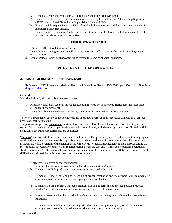- f. Demonstrate the ability to clearly communicate about the fire environment.
- g. Explain the role of air-to-air communications between pilots and the Air Attack Group Supervisor (ATGS) and/or Lead Plane/Aerial Supervision Module (ASM).
- h. Explain which frequencies in the FTA pilots should be monitoring and the proper management of monitoring those frequencies.
- i. Explain hazards of operating in fire environments where smoke, terrain, and other meteorological factors compete with mission activities.

#### **Night or NVG Considerations**

- 1. Wires are difficult to detect with NVGs.
- 2. Using proper scanning techniques will assist in detecting traffic and obstacles and in avoiding spatial disorientation.
- <span id="page-19-0"></span>3. Visual obstacles (such as shadows) will be treated the same as physical obstacles.

## **VI. EXTERNAL LOAD OPERATIONS**

#### <span id="page-19-1"></span>**A. TASK: EMERGENCY SHORT-HAUL (SAR)**

**Reference:** USFS Emergency Medical Short-Haul Operations Plan and *DOI Helicopter Short-Haul Handbook* [\(http://oas.doi.gov\)](http://oas.doi.gov/)

#### **General:**

Short-haul pilot Qualification is a two part process:

- 1. Pilot Short-haul Skill set and Knowledge test administered by an approved Helicopter Inspector Pilot (HIP), (card endorsement)
- 2. Using unit Short-haul training completion, (unit provides completion confirmation letter).

The pilot's interagency card will not be endorsed for short-haul approval until successful completion of all four phases of short-haul testing.

The pilot cannot perform operational short-haul missions until all of the initial short-haul units training has been successfully completed. Only supervised short-haul training flights, with the managing unit, are allowed until the using unit pilot training requirements are completed.

"Training" will consist of the requirements identified in the unit's operations plan. All short-haul training flights conducted with the using unit must be supervised in accordance with the unit's operations plan. The home unit manager providing oversight of the aviation asset will provide written acknowledgement and approval stating that the "pilot has successfully completed all required training from the unit and is approved to perform operational short-haul missions". This approval confirmation notification must be submitted to the Helicopter Inspector Pilot (HIP) that conducted the initial short-haul testing/endorsement.

- **1. Objective**: To determine that the applicant:
	- a. Exhibits the skill sets necessary to conduct short-haul training/missions.
	- b. Demonstrate flight proficiency requirements as described in Phase  $1 4$ .
	- c. Demonstrate knowledge and understanding of proper installation and use of short-haul equipment, it's attachment to the aircraft and the emergency release mechanism.
	- d. Demonstrate and perform a thorough preflight briefing of personnel to include hookup procedures, hand signals, pilot and other personnel actions in the event of an emergency.
	- e. Visually determine that the short-haul line/and secondary anchor system(s) is attached properly and is functional.
	- f. Demonstrate familiarity and proficiency with short-haul emergency/urgent procedures; such as entanglement, litter spin, immediate abort signals, and loss of communications.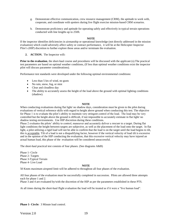- g. Demonstrate effective communication, crew resource management (CRM), the aptitude to work with, cooperate, and coordinate with spotters during live flight exercise mission-based CRM scenarios.
- h. Demonstrate proficiency and aptitude for operating safely and effectively in typical terrain operations conducted with line lengths up to 250ft.

#### **NOTE**

If the inspector identifies deficiencies in airmanship or operational knowledge (not directly addressed in the mission evaluation) which could adversely affect safety or contract performance, it will be at the Helicopter Inspector Pilot's (HIP) discretion to further explore those areas and/or terminate the evaluation.

**2. ACTION.** The Inspector will**:**

**Prior to the evaluation**, the short-haul course and procedures will be discussed with the applicant (s). The practical test parameters are based on optimal weather conditions, (If less than optimal weather conditions exist the inspector pilot will discuss parameter considerations).

Performance test standards were developed under the following optimal environmental conditions:

- Less than 5 kts of wind, no gusts
- No rain, snow, fog, or mist
- Clear and cloudless day
- The ability to accurately assess the height of the load above the ground with optimal lighting conditions (shadow).

#### **NOTE**

When conducting evaluations during flat light/ no shadow days, consideration must be given to the pilot during evaluations of vertical reference skills with regard to height above ground when conducting this test. The objective for Phase 1 is to evaluate the pilot's ability to maintain very stringent control of the load. The load may be very controlled but the height above the ground is difficult, if not impossible to accurately estimate in flat light/ no shadow testing environments. Use HIP discretion during these conditions.

Phase 2 evaluates the pilots' ability to control, maneuver and accurately deliver a rescuer to a target. During flat light conditions the height between targets are subjective, as well as the placement of the load onto the target. In flat light, a pilot utilizing a rigid load will not be able to confirm that the load is on the target until the load begins to tilt, this is acceptable. Tilt of a load is not a disqualifying factor, however if the vertical velocity of load tilt is excessive and in the opinion of the HIP conducting the evaluation, that this excessive vertical velocity may have injured an actual human load, this phase of the evaluation will be considered unsuccessful.

The short-haul practical test consists of four phases. (See diagrams A&B)

Phase 1- Circle Phase 2- Targets Phase 3-Typical Terrain Phase 4- Live Load

#### **NOTE**

50 Knots maximum airspeed limit will be adhered to throughout all four phases of the evaluation.

All four phases of the evaluation must be successfully completed in succession. Pilots are allowed three attempts each for phase 1 and 2.

Phase 3 and 4 are evaluated by/with the discretion of the HIP as per the parameters established in these PTS.

At all times during the short-haul flight evaluation the load will be treated as if it were a "live human load".

**Phase 1- Circle:** 3 Minute load control.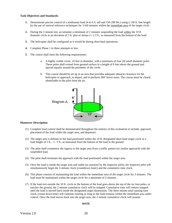#### **Task Objectives and Standards:**

- **1.** Demonstrate precise control of a nonhuman load (4 to 6 ft. tall and 150-200 lbs.) using a 150 ft. line length by the use of vertical reference techniques for 3 full minutes within the immediate area of the target circle.
- **2.** During the 3 minute test, accumulate a minimum of 2 minutes suspending the load within the 10 ft. diameter circle at an elevation of 3 ft. plus or minus  $(+/-)$  3 ft., as measured from the bottom of the load.
- **3.** The helicopter shall be configured as it would be during short-haul operations.
- **4.** Complete Phase 1 in three attempts or less.
- **5.** The course shall meet the following requirements:
	- a. A highly visible circle, 10 feet in diameter, with a minimum of four (4) small diameter poles. These poles shall extend from ground surface to a height of 6 feet above the ground and spaced equally around the perimeter of the circle.
	- b. This course should be set up in an area that provides adequate obstacle clearance for the helicopter to approach, to depart, and to perform 360<sup>°</sup> hover turns. The course must be clearly identifiable to the pilot from the air.



#### **Maneuver Description:**

- (1) Complete load control shall be demonstrated throughout the entirety of this evaluation to include, approach, placement of the load within the target area, and departure.
- (2) The target area is defined as the load positioned within the 10 ft. designated short-haul target circle at a load height of 3 ft.,  $+/-3$  ft., as measured from the bottom of the load to the ground.
- (3) The pilot shall commence the ingress to the target area from a traffic pattern (or similar approach) with the suspended load.
- (4) The pilot shall terminate the approach with the load positioned within the target area.
- (5) Once the load is inside the target area and stable (as assessed by the inspector pilot), the inspector pilot will simultaneously begin the 3-minute clock (countdown timer) and the cumulative time clock.
- (6) This phase consists of maintaining the load within the immediate area of the target circle for 3 minutes. The load must be maintained within the target circle for a minimum of 2 minutes.
- (7) If the load exit outside the 10 ft. circle or the bottom of the load goes above the top of the six foot poles, or touches the ground, the 2 minute cumulative clock will be stopped. Cumulative time will remain stopped until the load is moved back inside the designated target dimensions. The three minute total running time clock, (count down time) will continue running as long as the load remains within the immediate area under control. Once the load moves back into the target area, the 2 minute cumulative clock will resume.

#### **NOTE**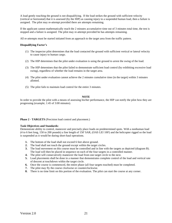A load gently touching the ground is not disqualifying. If the load strikes the ground with sufficient velocity (vertical or horizontal) that it is assessed (by the HIP) as causing injury to a suspended human load, then a failure is assigned. The pilot may re-attempt provided there are attempts remaining.

If the applicant cannot mathematically reach the 2 minutes accumulative time out of 3 minutes total time, the test is stopped and a failure is assigned. The pilot may re-attempt provided he has attempts remaining.

All re-attempts must be started initiated from an approach to the target area from the traffic pattern.

#### **Disqualifying Factor's**

- (1) The inspector pilot determines that the load contacted the ground with sufficient vertical or lateral velocity to cause injury to human cargo.
- (2) The HIP determines that the pilot under evaluation is using the ground to arrest the swing of the load.
- (3) The HIP determines that the pilot failed to demonstrate sufficient load control (by exhibiting excessive load swing), regardless of whether the load remains in the target area.
- (4) The pilot under evaluation cannot achieve the 2 minutes cumulative time (in the target) within 3 minutes allotted.
- (5) The pilot fails to maintain load control for the entire 3 minutes.

#### **NOTE**

In order to provide the pilot with a means of assessing his/her performance, the HIP can notify the pilot how they are progressing (example; 1:45 of 3:00 minutes).

#### **Phase 2 - TARGETS** (Precision load control and placement.)

#### **Task Objectives and Standards:**

Demonstrate ability to control, maneuver and precisely place loads on predetermined spots. With a nonhuman load (4 to 6 feet long, 150 to 200 pounds) a line length of 150' SAR, (OAS LEI 100') and the helicopter rigged so the load is suspended as it would be during short-haul operations.

- **1.** The bottom of the load shall not exceed 6 feet above ground.
- **2.** The load shall not touch the ground except within the target circles.
- **3.** The load movement on this course must be controlled and in line with the targets as depicted (diagram B). The load will then be placed in sequence on each of the four targets in a controlled manner.
- **4.** The pilot will consecutively maneuver the load from one target circle to the next.
- **5.** Load placements shall be done in a manner that demonstrates complete control of the load and vertical rate of descent at touchdown within the target circle.
- **6.** Once the course is commenced, the entire phase (all four targets touched) must be completed.
- **7.** The pilot may fly the course clockwise or counterclockwise.
- **8.** There is no time limit on this portion of the evaluation. The pilot can start the course at any corner.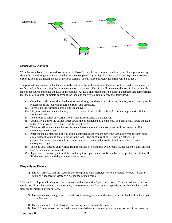

#### **Maneuver Description:**

With the same length of line and load as used in Phase 1, the pilot will demonstrate load control and placement by flying the load through a predetermined ground course (see Diagram B). The course shall be a square course with circles (3 feet in diameter) at each of the four corners. The distance between each circle will be 50 feet.

The pilot will maneuver the load at an altitude measured from the bottom of the load not to exceed 6 feet above the surface and without touching the ground except on the targets. The pilot will maneuver the load in line with each side of the course and place the load on the targets. All load placements must be done in a manner that demonstrates that the pilot has both, complete control of the load and the vertical rate of descent at touchdown.

- (1) Complete load control shall be demonstrated throughout the entirety of this evaluation, to include approach, placement of the load within target circles, and departure.
- (2) There is no time limit to complete the maneuver.
- (3) The pilot shall commence the ingress to the course from a traffic pattern (or similar approach) with the suspended load.
- (4) The pilot may select any corner from which to commence the maneuver.
- (5) Upon arrival above the corner target circle, the pilot shall stabilize the load, and then gently lower the load to the ground within the diameter of the target circle.
- (6) The pilot will not advance the load from each target circle to the next target until the inspector pilot announces "next target".
- (7) After the load is stabilized, the pilot in a controlled manner must move the load directly to the next target circle without touching the ground with the load. The pilot may choose either a clockwise or counterclockwise route around the course, but must maintain that route direction selected, to each subsequent target.
- (8) The load shall then be gently lifted from the target circle and this cycle repeated, in sequence, until all four target circles have been touched.
- (9) Upon successful completion of the final target load placement, confirmed by the inspector, the pilot shall lift the load gently and depart the maneuver area.

#### **Disqualifying Factors:**

(1) The HIP assesses that the load contacts the ground with sufficient vertical or lateral velocity to cause injury or \* jeopardize safety of a suspended human cargo.

\* Example…. A pilot allowing too much immediate line slack after/upon touch down. This immediate slack line would not allow a human load the opportunity (time) to transition from being suspended to establish balance and stabilize themselves on the surface.

- (2) The load contacts the ground in transit from one target circle to the next, or fails to land within the target circle diameter.
- (3) The load exceeds 6 feet above ground during any portion of the maneuver.
- (4) The HIP determines that the load is not controlled (excessive swing) during any portion of the maneuver.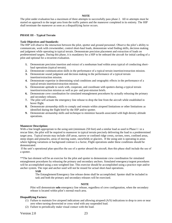#### **NOTE**

The pilot under evaluation has a maximum of three attempts to successfully pass phase 2. All re-attempts must be started on approach to the target area from the traffic pattern and the maneuver completed in its entirety. The HIP shall terminate the maneuver as soon as a disqualifying factor occurs.

#### **PHASE III – Typical Terrain**

#### **Task Objectives and Standards:**

The HIP will observe the interaction between the pilot, spotter and ground personnel. Observe the pilot's ability to communicate, work with crewmember, control short-haul loads, demonstrate wind finding skills, decision making and judgment while operating in typical terrain. Demonstrate precision placement and extraction of loads on predetermined targets. During this phase, it is mandatory for a HIP to be onboard the aircraft for initial carding of a pilot and optional for a recurrent evaluation.

- **1.** Demonstrate precision insertion and extract of a nonhuman load within areas typical of conducting shorthaul operations (typical terrain).
- **2.** Demonstrate communication skills in the performance of a typical terrain insertion/extraction mission.
- **3.** Demonstrate sound judgment and decision making in the performance of a typical terrain insertion/extraction mission.
- **4.** Demonstrate expertise in determining wind conditions and orographic effects in the performance of a typical terrain insertion/extraction mission.
- **5.** Demonstrate aptitude to work with, cooperate, and coordinate with spotters during a typical terrain insertion/extraction mission as well as pre- and post-mission briefs.
- **6.** Demonstrate crew coordination for simulated entanglement procedures by actually releasing the primary and secondary releases.
- **7.** The pilot will actuate the emergency line release to drop the line from the aircraft while established in hover flight.
- **8.** Demonstrate airmanship skills to comply and remain within airspeed limitations or other limitations as identified during the flight brief by the HIP and/or spotter.
- **9.** Demonstrate airmanship skills and technique to minimize hazards associated with high density altitude operations.

#### **Maneuver Description:**

With a line length appropriate to the using unit (minimum 250 feet) and a similar load as used in Phase I / or a rescue litter, the pilot will be required to maneuver in typical terrain precisely delivering the load to a predetermined target area. Typical terrain may include cliff areas, narrow or confined ridge crests, ravines, trees, confined areas, steep slopes and pinnacles, areas of moving water, snowfields or glaciers. If the using unit is operating in areas where lighting variations or background contrast is a factor, Flight operations under these conditions should be demonstrated.

If the unit's operational plan specifies the use of a spotter aboard the aircraft, then this phase shall include the use of a spotter.

\*\*The last element will be an exercise for the pilot and spotter to demonstrate crew coordination for simulated entanglement procedures by releasing the primary and secondary anchors. Simulated emergency/urgent procedures will be accomplished using a non-weighted line. This exercise should be accomplished using a practice rope and/or anchor system. The rope and anchor used will not be reused for actual short-haul operations.

#### **SAR**

The Entanglement/Emergency line release demo shall be accomplished. Spotter shall be included in task and both the primary and secondary releases will be exercised.

#### **NOTE**

Pilot will demonstrate **solo** emergency line release, regardless of crew configuration, when the secondary release is located within pilot's normal reach area.

#### **Disqualifying Factors:**

- (1) Failure to maintain live airspeed indications and allowing airspeed (A/S) indications to drop to zero or near zero when turning downwind or cross wind with any suspended load.
- (2) Failure to periodically make visual contact with the load.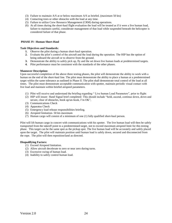- (3) Failure to maintain A/S at or below maximum A/S as briefed. (maximum 50 kts)
- (4) Contacting trees or other obstacles with the load at any time.
- (5) Failure to utilize Crew Resource Management (CRM) during operations.
- (6) At all times during the short-haul flight evaluation the load will be treated as if it were a live human load, failure to maintain careful, considerate management of that load while suspended beneath the helicopter is considered failure of that phase.

#### **PHASE IV- Human Short-Haul**

#### **Task Objectives and Standards:**

- **1.** Observe the pilot during a human short-haul operation.
- **2.** Evaluate the pilot's control of the aircraft and the load during the operation. The HIP has the option of being onboard the aircraft or to observe from the ground.
- **3.** Demonstrate the ability to safely pick up, fly and the set down live human loads at predetermined targets.
- **4.** Pilot performance must be consistent with the standards of the other phases.

#### **Maneuver Description:**

Upon successful completion of the above three testing phases, the pilot will demonstrate the ability to work with a human on the end of the short-haul line. The pilot must demonstrate the ability to place a human at a predetermined target within the same tolerance as outlined in Phase II. The pilot shall demonstrate total control of the load at all times. The pilot must demonstrate acceptable communication with spotter, maintain periodic visual contact with live load and maintain within briefed airspeed parameters.

- (1) Pilot will receive and understand the briefing regarding " Live human Load Parameters", prior to flight:
- (2) HIP will insure Hand Signal brief completed- This should include "hold, ascend, continue down, down and secure, clear of obstacles, hook up/un-hook, I'm OK",
- (3) Communications Check
- (4) Apparatus Check
- (5) Emergency load release responsibilities briefing.
- (6) Airspeed limitation- 50 kts maximum
- (7) Human cargo will consist of a minimum of one (1) fully qualified short-haul person.

Pilot will lift human cargo in concert with communications with his spotter. The live human load will then be safely transported from the takeoff point to a predetermined target, not to exceed maximum airspeed limit for this testing phase. This target can be the same spot as the pickup spot. The live human load will be accurately and safely placed upon the target. The pilot will maintain position until human load is safely down, secured and disconnected from the rope. The pilot will then reposition/land as directed.

#### **Disqualifying Factors:**

- (1) Exceed Airspeed limitation.
- (2) Allow aircraft decelerate to zero or near zero during turns.
- (3) Excessive swing of human load.
- (4) Inability to safely control human load.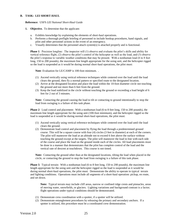#### <span id="page-26-0"></span>**B. TASK: LEI SHORT-HAUL**

**Reference:** USFS *LEI National Short-Haul Guide*

- **1. Objective.** To determine that the applicant:
	- a. Exhibits knowledge by explaining the elements of short-haul operations.
	- b. Performs a thorough preflight briefing of personnel to include hookup procedures, hand signals, and pilot and other personnel actions in the event of an emergency.
	- c. Visually determines that the personnel attach system(s) is attached properly and is functional.

**Phase 1**: Precision longline: The inspector will (1) observe and evaluate the pilot's skills and ability for vertical reference flight, (2) observe the pilot's control of the helicopter as well as the load, and (3) observe the pilot's response to variable weather conditions that may be present. With a nonhuman load (6 to 8 feet long, 150 to 200 pounds), the maximum line length appropriate for the using unit, and the helicopter rigged so the load is suspended as it would be during normal short-haul operations, the pilot must:

**Note**: Evaluation for LE/CAMP is 100-foot minimum. .

- (1) Ascend vertically using vertical reference techniques while centered over the load until the load clears the ground, then fly a normal pattern or specified route to the designated location.
- (2) Arrive at the designated location and place the load within the 10-foot diameter circle not touching the ground and not more than 6 feet from the ground.
- (3) Keep the load stabilized in the circle without touching the ground or exceeding a load height of 6 feet for 2 out of 3 minutes.

**Note:** Contacting the ground causing the load to tilt or contacting to ground intentionally to stop the load from swinging is a failure of this task phase.

**Phase 2**: Load control and placement: With a nonhuman load (6 to 8 feet long, 150 to 200 pounds), the maximum line length appropriate for the using unit (100-foot minimum), and the helicopter rigged so the load is suspended as it would be during normal short-haul operations, the pilot must:

- (1) Ascend vertically using vertical reference techniques while centered over the load until the load clears the ground.
- (2) Demonstrate load control and placement by flying the load through a predetermined ground course. This will be a square course with four (4) circles (3 feet in diameter) at each of the corners. The pilot will maneuver the load at an altitude not to exceed 6 feet above the surface without touching the ground except at the targets. The pilot will maneuver the load in line with each side of the course and place the load on the ground inside each of the circles. All load placements must be done in a manner that demonstrates that the pilot has complete control of the load and the vertical rate of descent at touchdown. This course is not timed.

**Note:** Contacting the ground other than at the designated locations, tilting the load when placed in the circle, or contacting the ground to stop the load from swinging is a failure of this task phase.

**Phase 3**. Typical terrain: With a nonhuman load (6 to 8 feet long, 150 to 200 pounds), the maximum line length appropriate for the using unit and the helicopter rigged so the load is suspended as it would be during normal short-haul operations, the pilot must: Demonstrate the ability to operate in typical terrain and lighting conditions. Operations must include all segments of a short-haul operation: pickup, en route, and set down.

**Note:** Typical terrain may include cliff areas, narrow or confined ridge crests and pinnacles, areas of moving water, snowfields, or glaciers. Lighting variations and background contrast is a factor; flight operations under typical conditions should be demonstrated.

- (1) Demonstrate crew coordination with a spotter, if a spotter will be utilized.
- (2) Demonstrate entanglement procedures by releasing the primary and secondary anchors. If a spotter is utilized, this procedure must be a coordinated crew demonstration.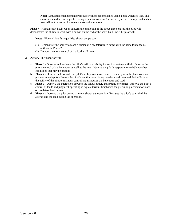**Note:** Simulated entanglement procedures will be accomplished using a non-weighted line. This exercise should be accomplished using a practice rope and/or anchor system. The rope and anchor used will not be reused for actual short-haul operations.

**Phase 4**. Human short-haul: Upon successful completion of the above three phases, the pilot will demonstrate the ability to work with a human on the end of the short-haul line. The pilot will:

**Note: "**Human" is a fully qualified short-haul person.

- (1) Demonstrate the ability to place a human at a predetermined target with the same tolerance as outlined in Phase 2.
- (2) Demonstrate total control of the load at all times.
- **2. Action.** The inspector will:
	- a. **Phase 1** Observe and evaluate the pilot's skills and ability for vertical reference flight. Observe the pilot's control of the helicopter as well as the load. Observe the pilot's response to variable weather conditions that may be present.
	- b. **Phase 2** Observe and evaluate the pilot's ability to control, maneuver, and precisely place loads on predetermined spots. Observe the pilot's reactions to existing weather conditions and their effects on the ability of the pilot to maintain control and maneuver the helicopter and load.
	- c. **Phase 3** Observe the interaction between the pilot, spotter, and ground personnel. Observe the pilot's control of loads and judgment operating in typical terrain. Emphasize the precision placement of loads on predetermined targets.
	- d. **Phase 4** Observe the pilot during a human short-haul operation. Evaluate the pilot's control of the aircraft and the load during the operation.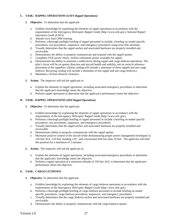#### <span id="page-28-0"></span>**C. TASK: RAPPEL OPERATIONS (***USFS Rappel Operations)*

- **1. Objective.** To determine that the applicant:
	- a. Exhibits knowledge by explaining the elements of rappel operations in accordance with the requirements of the *Interagency Helicopter Rappel Guide* (http://www.nifc.gov)*, National Rappel Operation Guide (USFS)*.
	- b. Attends crew lead CRM training.
	- c. Performs a thorough preflight briefing of rappel personnel to include a briefing on model-specific procedures, exit procedures, sequences, and emergency procedures using error-free mockups
	- d. Visually determines that the rappel anchor and associated hardware are properly installed and serviceable.
	- e. Demonstrates the ability to properly communicate and respond with the rappel spotter.
	- f. Completes OGE power check, verifies continuous power available for rappel.
	- g. Demonstrates the ability to maintain a stable hover during rappel and cargo letdown operations. The pilot's focus will be on spotter direction and aircraft health and stability, not on vertical reference placement of the rappellers. (Initial carding will include a minimum of three rappels and one cargo letdown. Recurring carding will include a minimum of one rappel and one cargo letdown.)
	- h. Maintains a 50-foot obstacle clearance.
- **2. Action.** The inspector will ask the applicant to:
	- a. Explain the elements of rappel operations, including associated emergency procedures to determine that the applicant's knowledge meets the objective.
	- b. Perform rappel operations to determine that the applicant's performance meets the objective.

#### <span id="page-28-1"></span>**D. TASK: RAPPEL OPERATIONS (***DOI Rappel Operations)*

- **1. Objective.** To determine that the applicant:
	- a. Exhibits knowledge by explaining the elements of rappel operations in accordance with the requirements of the *Interagency Helicopter Rappel Guide* (http://www.nifc.gov).
	- b. Performs a thorough preflight briefing of rappel personnel to include a briefing on model specific procedures, exit procedures, sequences, and emergency procedures.
	- c. Visually determines that the rappel anchor and associated hardware are properly installed and serviceable.
	- d. Demonstrates ability to properly communicate with the rappel spotter.
	- e. Maintains positive control of the aircraft while demonstrating proper power management techniques at 150 feet AGL  $\pm$ 10 feet, heading  $\pm$ 10°, and a horizontal drift less than 10 feet. The applicant will hold this position for a minimum of 3 minutes.
- **2. Action.** The inspector will ask the applicant to:
	- a. Explain the elements of rappel operations, including associated emergency procedures to determine that the applicant's knowledge meets the objective.
	- b. Perform a rappel operation at a minimum altitude of 150 feet AGL to determine that the applicant's performance meets the objective.

#### <span id="page-28-2"></span>**E. TASK: CARGO LETDOWN**

- **1. Objective.** To determine that the applicant:
	- a. Exhibits knowledge by explaining the elements of cargo letdown operations in accordance with the requirements of the *Interagency Helicopter Rappel Guide* (http://www.nifc.gov)*.*
	- b. Performs a thorough preflight briefing of cargo letdown personnel to include briefing on model specific procedures, cargo letdown procedures, sequences, and emergency procedures.
	- c. Visually determines that the cargo letdown anchor and associated hardware are properly installed and serviceable.
	- d. Demonstrates the ability to properly communicate with the cargo letdown spotter.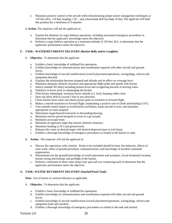- e. Maintains positive control of the aircraft while demonstrating proper power management techniques at 150 feet  $\widehat{AGL}$  ±10 feet, heading ±10 $\Box$ , and a horizontal drift less than 10 feet. The applicant will hold this position for a minimum of 3 minutes.
- **2. Action.** The inspector will ask the applicant to:
	- a. Explain the elements of cargo letdown operations, including associated emergency procedures to determine that the applicant's knowledge meets the objective.
	- b. Perform a cargo letdown operation at a minimum altitude of 150 feet AGL to determine that the applicant's performance meets the objective.

#### <span id="page-29-0"></span>**F. TASK: WATER/RETARDANT DELIVERY (Bucket-Belly and/or Longline)**

- **1. Objective.** To determine that the applicant:
	- a. Exhibits a basic knowledge of wildland fire operations.
	- b. Exhibits knowledge of communications and coordination required with other aircraft and ground forces.
	- c. Exhibits knowledge of aircraft modifications (switch placement/operations, wiring/plugs, mirror) and equipment (bucket).
	- d. Explains the relationship between airspeed and altitude and its effect on coverage level.
	- e. Maintains adequate obstacle clearance and appropriate flight paths and speeds with bucket.
	- f. Selects suitable fill site(s) including hazard recon and recognizing hazards of moving water.
	- g. Stabilizes in hover prior to submerging the bucket.
	- h. With bucket submerged, maintains hover altitude  $(\pm 1$  foot), keeping cables clear.
	- i. Does not allow drift to exceed 5 feet in any direction.
	- j. Clears bucket from water and checks power prior to transition to forward flight.
	- k. Makes a smooth transition to forward flight, maintaining a positive rate of climb and heading  $(\pm 10^{\circ})$ .
	- l. Uses smooth control inputs to avoid bucket oscillation, keeps aircraft in trim, and maintains appropriate en route airspeed.
	- m. Determines target/hazard/wind prior to descending/slowing.
	- n. Maintains reserve power/airspeed in event of a go-around.
	- o. Maintains an escape route.
	- p. Maintains an approach angle that ensures obstacle clearance.
	- q. Maintains heading  $(\pm 10^{\circ})$  and ground track.
	- r. Releases the water on desired target with desired dispersal (spot or trail drop).
	- s. Exhibits a thorough knowledge of emergency procedures as related to the bucket or tank.
- **2. Action.** The inspector will ask the applicant to:
	- a. Discuss fire operations with a bucket. Points to be included should be basic fire behavior, effects of rotor wash, safety of ground personnel, communications, and knowledge of incident command organization.
	- b. Demonstrate (on the ground) knowledge of switch placement and actuation, circuit breaker(s) location, bucket wiring and hookup, and preflight of the bucket.
	- c. Perform a minimum of three water drops (one spot and two connecting trail) to determine that the applicant's performance meets the objective.

#### <span id="page-29-1"></span>**G. TASK: WATER/ RETARDANT DELIVERY (Snorkel/Fixed Tank)**

**Note:** Use of mirror or vertical reference as applicable.

- **1. Objective.** To determine that the applicant:
	- a. Exhibits a basic knowledge of wildland fire operations.
	- b. Exhibits knowledge of communications and coordination required with other aircraft and ground forces.
	- c. Exhibits knowledge of aircraft modifications (switch placement/operations, wiring/plugs, mirror) and equipment (tank and snorkel).
	- d. Exhibits a thorough knowledge of emergency procedures as related to the tank and snorkel.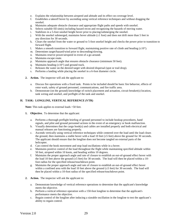- e. Explains the relationship between airspeed and altitude and its effect on coverage level.
- f. Establishes a takeoff hover by ascending using vertical reference techniques and without dragging the snorkel.
- g. Maintains adequate obstacle clearance and appropriate flight paths and speeds with snorkel.
- h. Selects suitable fill site(s) including hazard recon and recognizing the hazards of moving water.
- i. Stabilizes in a 5-foot snorkel height hover prior to placing/submerging the snorkel.
- j. With the snorkel submerged, maintains hover altitude  $(\pm 1$  foot) and does not drift more than 5 feet in any direction for 30 seconds.
- k. Clears the snorkel from the water or ground to 5-foot snorkel height and checks the power prior to transition to forward flight.
- l. Makes a smooth transition to forward flight, maintaining positive rate of climb and heading  $(\pm 10^{\circ})$ .
- m. Determines target/hazard/wind prior to descending/slowing.
- n. Maintains reserve power/airspeed in event of a go-around.
- o. Maintains escape route.
- p. Maintains approach angle that ensures obstacle clearance (minimum 50 feet).
- q. Maintains heading  $(\pm 10^{\circ})$  and ground track.
- r. Releases the water on the desired target with desired dispersal (spot or trail drop).
- s. Performs a landing while placing the snorkel in a 6-foot diameter circle.
- **2. Action.** The inspector will ask the applicant to:
	- a. Discuss fire operations with a fixed tank. Points to be included should be basic fire behavior, effects of rotor wash, safety of ground personnel, communications, and fire traffic area.
	- b. Demonstrate (on the ground) knowledge of switch placement and actuation, circuit breaker(s) location, tank wiring and snorkel, and preflight of the tank and snorkel.

#### <span id="page-30-0"></span>**H. TASK: LONGLINE, VERTICAL REFERENCE (VTR)**

**Note:** This task applies to external loads >50 feet.

- **1. Objective.** To determine that the applicant:
	- a. Performs a thorough preflight briefing of ground personnel to include hookup procedures, hand signals, and pilot and ground personnel actions in the event of an emergency or hook malfunction.
	- b. Visually determines that the cargo hook(s) and cables are installed properly and both electrical and manual releases are functioning properly.
	- c. Ascends vertically using vertical reference techniques while centered over the load until the load clears the ground, then maintains a stable hover with a load 10 feet  $(\pm 5 \text{ feet})$  above the ground for 30 seconds. The applicant should ensure that the longline does not become tangled on external parts of the helicopter.
	- d. Can control the hook movement and stop load oscillations while in a hover.
	- e. Maintains positive control of the load throughout the flight while maintaining specified altitude within 50 feet, airspeed within 10 knots, and heading within 10 degrees.
	- f. Maintains the proper approach angle and rate of closure to establish an out-of-ground effect hover with the load 10 feet above the ground  $(\pm 5$  feet) for 30 seconds. The load will then be placed within a 10foot radius for the specified release/touchdown point.
	- g. Maintains the proper approach angle and rate of closure to establish an out-of-ground effect hover within a confined area with the load 10 feet above the ground  $(\pm 5$  feet) for 30 seconds. The load will then be placed within a 10-foot radius of the specified release/touchdown point.
- **2. Action.** The inspector will ask the applicant to:
	- a. Demonstrate knowledge of vertical reference operations to determine that the applicant's knowledge meets the objective.
	- b. Perform a vertical reference operation with a 150-foot longline to determine that the applicant's performance meets the objective.
	- c. Regain control of the longline after inducing a sizeable oscillation in the longline to test the applicant's ability to regain control.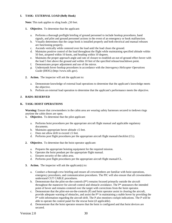#### <span id="page-31-0"></span>**I. TASK: EXTERNAL LOAD (Belly Hook)**

Note: This task applies to sling loads  $\leq 50$  feet.

- **1. Objective.** To determine that the applicant:
	- a. Performs a thorough preflight briefing of ground personnel to include hookup procedures, hand signals, and pilot and ground personnel actions in the event of an emergency or hook malfunction.
	- b. Visually determines that the cargo hook is installed properly and both electrical and manual releases are functioning properly.
	- c. Ascends vertically while centered over the load until the load clears the ground.
	- d. Maintains positive control of the load throughout the flight while maintaining specified altitude within 50 feet, airspeed within 10 knots, and heading within 10 degrees.
	- e. Maintains the proper approach angle and rate of closure to establish an out-of-ground effect hover with the load 5 feet above the ground and within 10 feet of the specified release/touchdown point.
	- f. Demonstrates proper adjustment and use of the mirror.
	- *g.* Understands hover hookup procedures in accordance with the *Interagency Helicopter Operations Guide* (IHOG) (http://www.nifc.gov).
- **2. Action.** The inspector will ask the applicant to:
	- a. Demonstrate knowledge of external load operations to determine that the applicant's knowledge meets the objective.
	- b. Perform an external load operation to determine that the applicant's performance meets the objective.

#### <span id="page-31-1"></span>**J. RADS: RESERVED**

#### <span id="page-31-2"></span>**K. TASK: HOIST OPERATIONS**

**Warning:** Ensure that crewmembers in the cabin area are wearing safety harnesses secured to tiedown rings anytime the cabin doors are open.

- **1. Objective.** To determine that the pilot applicant:
	- a. Performs hoist procedures per the appropriate aircraft flight manual and applicable regulatory documents.
	- b. Maintains appropriate hover altitude  $\pm 5$  feet.
	- c. Does not allow drift to exceed  $\pm 5$  feet.
	- d. Performs post flight procedures per the appropriate aircraft flight manual/checklist (CL).
- **2. Objective.** To determine that the hoist operator applicant:
	- a. Prepares the appropriate hoisting equipment for the required mission.
	- b. Operates the hoist pendant per the appropriate flight manual.
	- c. Ensures security of the cabin area.
	- d. Performs post flight procedures per the appropriate aircraft flight manual/CL.
- **3. Action.** The inspector will ask the applicant(s) to:
	- a. Conduct a thorough crew briefing and ensure all crewmembers are familiar with hoist operations, emergency procedures, and communication procedures. The PIC will also ensure that all crewmembers understand CUT CABLE procedures.
	- b. Demonstrate that the pilot-on-the-controls (P\*) remains focused primarily outside the aircraft throughout the maneuver for aircraft control and obstacle avoidance. The P\* announces the intended point of hover and remains centered over the target with corrections from the hoist operator.
	- c. Demonstrate that the pilot-not-on-the-controls (P) and hoist operator assist in clearing the aircraft, provide adequate warning of obstacles, and assist the  $P^*$  in maintaining a stable hover by providing the P\* with information regarding the aircraft drift. The P also monitors cockpit indications. The P will be able to operate the control panel for the rescue hoist (if applicable).
	- d. Demonstrate that the hoist operator ensures that the hoist is configured and that hoist devices are secured.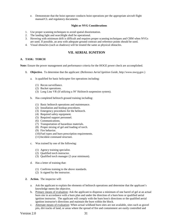e. Demonstrate that the hoist operator conducts hoist operations per the appropriate aircraft flight manual/CL and regulatory documents.

#### **Night or NVG Considerations**

- 1. Use proper scanning techniques to avoid spatial disorientation.
- 2. The landing light and searchlight shall be operational.
- 3. Hovering with minimum drift is difficult and requires proper scanning techniques and CRM when NVGs are used. If possible, an area with adequate ground contrast and reference points should be used.
- 4. Visual obstacles (such as shadows) will be treated the same as physical obstacles.

## **VII. AERIAL IGNITION**

#### <span id="page-32-1"></span><span id="page-32-0"></span>**A. TASK: TORCH**

**Note:** Ensure the power management and performance criteria for the HOGE power check are accomplished.

- **1. Objective.** To determine that the applicant: (Reference *Aerial Ignition Guide*, http://www.nwcg.gov*.*)
	- a. Is qualified for basic helicopter fire operations including:
		- (1) Recon surveillance.
		- (2) Bucket operations.
		- (3) Long Line VR (If utilizing a 50' Helitorch suspension system).
	- b. Has completed helitorch ground training including:
		- (1) Basic helitorch operations and maintenance.
		- (2) Installation and hookup procedures.
		- (3) Emergency procedures for the helitorch.
		- (4) Required safety equipment.
		- (5) Required support personnel.
		- (6) Communications.
		- (7) Transportation of hazardous materials.
		- (8) Proper mixing of gel and loading of torch.
		- (9) Fire behavior.
		- (10)Fuel types and burn prescription requirements.
		- (11)Incident command structure.
	- c. Was trained by one of the following:
		- (1) Agency training specialist.
		- (2) Qualified torch instructor.
		- (3) Qualified torch manager (2-year minimum).
	- d. Has a letter of training that:
		- (1) Confirms training to the above standards.
		- (2) Is signed by the instructor.
- **2. Action.** The inspector will:
	- a. Ask the applicant to explain the elements of helitorch operations and determine that the applicant's knowledge meets the objective.
	- b. Primary means of evaluation: Ask the applicant to dispense a minimum of one barrel of gel at an actual burn site in accordance with a burn plan and under the direction of a burn boss or qualified aerial ignition instructor. The applicant will comply with the burn boss's directions or the qualified aerial ignition instructor's directions and maintain the burn within the block.
	- c. Alternate means of evaluation: When actual wildland burn sites are not available, sites such as gravel pits, dirt tracks of land, or areas where the spread of fire and containment are easily controlled and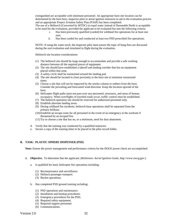extinguished are acceptable with minimum personnel. An appropriate burn site location can be determined by the burn boss, inspector pilot or aerial ignition instructor to aid in the evaluation process and an appropriate Project Aviation Safety Plan (PASP) has been completed.

The use of a Helitorch (Converted by MTDC) to expel water instead of flammable fluids is acceptable to be used for the evaluation, provided the applicant to be evaluated has met the following criteria:

- i. Has been previously qualified (carded) for wildland fire operations for at least one year.
- ii. Has been carded for and conducted at least two PSD prescribed fire operations.

NOTE: If using the water torch, the inspector pilot must ensure the topic of hang fires are discussed during the oral evaluation and simulated in flight during the evaluation.

Helitorch site location considerations:

- (1) The helitorch site should be large enough to accommodate and provide a safe working distance between all the required pieces of equipment.
- (2) The site should have established a takeoff and landing corridor that has no equipment placed within that zone.
- (3) A safety circle shall be maintained around the landing pad.
- (4) The site should be located in close proximity to the burn site to minimize turnaround times.
- (5) Choose a site that will not be impacted by the smoke column or embers from the burn. Consider the prevailing and forecasted wind direction. Keep the location upwind of the burn.
- (6) Helicopter flight paths must not pass over any personnel, structures, and areas of human occupancy. When overflights of traveled roads occur, traffic control must be established.
- (7) The helitorch operation site should be reserved for authorized personnel only.
- (8) Establish alternate landing areas.
- (9) During wildland fire incidents, helitorch base operations shall be separated from the primary helibase.
- (10)Establish an escape route for all personnel in the event of an emergency at the worksite if threatened by an escaped fire.
- (11)Try to choose a site that has no, or a minimum, need for dust abatement.
- d. Verify that the training was conducted by a qualified instructor.
- e. Secure a copy of the training letter to be placed in the pilot record folder.

#### <span id="page-33-0"></span>**B. TASK: PLASTIC SPHERE DISPENSER (PSD)**

**Note:** Ensure the power management and performance criteria for the HOGE power check are accomplished.

- **1. Objective.** To determine that the applicant: (Reference: *Aerial Ignition Guide*, http://www.nwcg.gov.)
	- a. Is qualified for basic helicopter fire operations including:
		- (1) Reconnaissance and surveillance.
		- (2) Helitack passenger transport.
		- (3) Bucket operations.
	- b. Has completed PSD ground training including:
		- (1) PSD operations and maintenance.
		- (2) Installation and hookup procedures.
		- (3) Emergency procedures for the PSD.
		- (4) Required safety equipment.
		- (5) Required support personnel.
		- (6) Communications.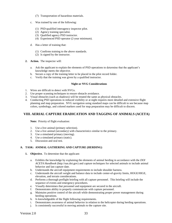- (7) Transportation of hazardous materials.
- c. Was trained by one of the following:
	- (1) PSD-qualified interagency inspector pilot.
	- (2) Agency training specialist.
	- (3) Qualified agency PSD instructor.
	- (4) Experienced PSD operator (2-year minimum).
- d. Has a letter of training that:
	- (1) Confirms training to the above standards.
	- (2) Is signed by the instructor.
- **2. Action.** The inspector will:
	- a. Ask the applicant to explain the elements of PSD operations to determine that the applicant's knowledge meets the objective.
	- b. Secure a copy of the training letter to be placed in the pilot record folder.
	- c. Verify that the training was given by a qualified instructor.

#### **Night or NVG Considerations**

- 1. Wires are difficult to detect with NVGs.
- 2. Use proper scanning techniques to ensure obstacle avoidance.
- 3. Visual obstacles (such as shadows) will be treated the same as physical obstacles.
- 4. Conducting PSD operations in reduced visibility or at night requires more detailed and extensive flight planning and map preparation. NVG navigation using standard maps can be difficult to see because map colors, symbology, and colored markers used for map preparation may be difficult to discern.

# <span id="page-34-0"></span>**VIII. AERIAL CAPTURE ERADICATION AND TAGGING OF ANIMALS (ACETA)**

**Note:** Priority of flight evaluation:

- 1. Use a live animal (primary selection).
- 2. Use a live animal (secondary) with characteristics similar to the primary.
- 3. Use a simulated primary (moving).
- 4. Use a simulated primary (static).
- 5. Discussion and oral test.

#### <span id="page-34-1"></span>**A. TASK: ANIMAL GATHERING AND CAPTURE (HERDING)**

- **1. Objective.** To determine that the applicant:
	- a. Exhibits the knowledge by explaining the elements of animal herding in accordance with the *DOI ACETA Handbook* (http://oas.doi.gov) and capture techniques for selected animals to include animal behavior and last capture date.
	- b. Understands the aircraft equipment requirements to include shoulder harness.
	- c. Understands the aircraft weight and balance data to include center-of-gravity limits, HOGE/HIGE, elevation, and terrain considerations.
	- d. Performs a thorough preflight briefing with all capture personnel. This briefing will include the sequence of events and emergency procedures.
	- e. Visually determines that personnel and equipment are secured in the aircraft.
	- f. Demonstrates ability to properly communicate with capture personnel.
	- g. Maintains positive control of the aircraft while demonstrating proper power management during herding operations.
	- h. Is knowledgeable of the flight following requirements.
	- i. Demonstrates awareness of animal behavior in relation to the helicopter during herding operations.
	- j. Is consistently successful in moving animals to the capture site.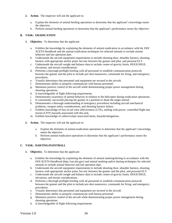- **2. Action.** The inspector will ask the applicant to:
	- a. Explain the elements of animal herding operations to determine that the applicant's knowledge meets the objective.
	- b. Perform animal herding operations to determine that the applicant's performance meets the objective.

#### <span id="page-35-0"></span>**B. TASK: ERADICATION**

- **1. Objective.** To determine that the applicant:
	- a. Exhibits the knowledge by explaining the elements of animal eradication in accordance with the *DOI ACETA Handbook* and the animal eradication techniques for selected animals to include animal behavior and last operation date.
	- b. Understands the aircraft equipment requirements to include shooting door, shoulder harness, shooting harness with appropriate anchor point, hot mic between the gunner and pilot, and personal ELT.
	- c. Understands the aircraft weight and balance data to include center-of-gravity limits, HOGE/HIGE, elevations, and terrain considerations
	- d. Performs a thorough preflight briefing with all personnel to establish communication protocols between the gunner and the pilot to include pre-shot maneuvers, commands for firing, and emergency procedures.
	- e. Visually determines that personnel and equipment are secured in the aircraft.
	- f. Demonstrates ability to properly communicate with bureau personnel.
	- g. Maintains positive control of the aircraft while demonstrating proper power management during shooting operations.
	- h. Is knowledgeable of flight following requirements.
	- i. Demonstrates awareness of animal behavior in relation to the helicopter during eradication operations.
	- j. Is consistently successful placing the gunner in a position to shoot the target animal.
	- k. Demonstrates a thorough understanding of emergency procedures including aircraft mechanical problems, weapon safety considerations, and shooting harness failure.
	- l. Exhibits knowledge of loss of tail rotor effectiveness (LTE), settling with power, controlled flight into terrain (CFIT) hazards associated with this task.
	- m. Exhibits knowledge of cabin/cockpit unsecured items, hazards/mitigations.
- **2. Action.** The inspector will ask the applicant to:
	- a. Explain the elements of animal eradication operations to determine that the applicant's knowledge meets the objective.
	- b. Perform animal eradication operations to determine that the applicant's performance meets the objective.

#### <span id="page-35-1"></span>**C. TASK: DARTING/PAINTBALL**

- **1. Objective.** To determine that the applicant:
	- a. Exhibits the knowledge by explaining the elements of animal marking/darting in accordance with the *DOI ACETA Handbook* (http://oas.doi.gov) and animal marking and/or darting techniques for selected animals to include animal behavior and last operation date.
	- b. Understands the aircraft equipment requirements to include shooting door, shoulder harness, shooting harness with appropriate anchor point, hot mic between the gunner and the pilot, and personal ELT.
	- c. Understands the aircraft weight and balance data to include center-of-gravity limits, HOGE/HIGE, elevations, and terrain considerations.
	- d. Performs a thorough preflight briefing with all personnel to establish communication protocols between the gunner and the pilot to include pre-shot maneuvers, commands for firing, and emergency procedures.
	- e. Visually determines that personnel and equipment are secured in the aircraft.
	- f. Demonstrates ability to properly communicate with bureau personnel.
	- g. Maintains positive control of the aircraft while demonstrating proper power management during shooting operations.
	- h. Is knowledgeable of flight following requirements.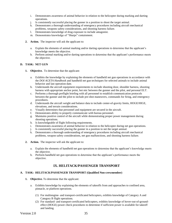- i. Demonstrates awareness of animal behavior in relation to the helicopter during marking and darting operations.
- j. Is consistently successful placing the gunner in a position to shoot the target animal.
- k. Demonstrates a thorough understanding of emergency procedures including aircraft mechanical problems, weapons safety considerations, and shooting harness failure.
- l. Demonstrates knowledge of drug exposure to include antagonist.
- m. Demonstrates knowledge of "Sharps" containment.
- **2. Action.** The inspector will ask the applicant to:
	- a. Explain the elements of animal marking and/or darting operations to determine that the applicant's knowledge meets the objective.
	- b. Perform animal marking and/or darting operations to determine that the applicant's performance meets the objective.

#### <span id="page-36-0"></span>**D. TASK: NET GUN**

- **1. Objective.** To determine that the applicant:
	- a. Exhibits the knowledge by explaining the elements of handheld net gun operations in accordance with the *DOI ACETA Handbook* and handheld net gun techniques for selected animals to include animal behavior and last operation date.
	- b. Understands the aircraft equipment requirements to include shooting door, shoulder harness, shooting harness with appropriate anchor point, hot mic between the gunner and the pilot, and personal ELT.
	- c. Performs a thorough preflight briefing with all personnel to establish communication protocols between the gunner and the pilot to include pre-shot maneuvers, commands for firing, and emergency procedures.
	- d. Understands the aircraft weight and balance data to include center-of-gravity limits, HOGE/HIGE, elevations, and terrain considerations.
	- e. Visually determines that personnel and equipment are secured in the aircraft.
	- f. Demonstrates ability to properly communicate with bureau personnel.
	- g. Maintains positive control of the aircraft while demonstrating proper power management during shooting operations.
	- h. Is knowledgeable of flight following requirements.
	- i. Demonstrates awareness of animal behavior in relation to the helicopter during net gun operations.
	- j. Is consistently successful placing the gunner in a position to net the target animal.
	- k. Demonstrates a thorough understanding of emergency procedures including aircraft mechanical problems, weapon safety considerations, net gun malfunctions, and shooting harness failure.
- **2. Action.** The inspector will ask the applicant to:
	- a. Explain the elements of handheld net gun operations to determine that the applicant's knowledge meets the objective.
	- b. Perform handheld net gun operations to determine that the applicant's performance meets the objective.

# **IX. HELITACK/PASSENGER TRANSPORT**

#### <span id="page-36-2"></span><span id="page-36-1"></span>**A. TASK: HELITACK/PASSENGER TRANSPORT (Qualified Non-crewmember)**

- **1. Objective.** To determine that the applicant:
	- a. Exhibits knowledge by explaining the elements of takeoffs from and approaches to confined area, pinnacle, or platform operations.
		- (1) For multiengine- and transport-certificated helicopters, exhibits knowledge of Category A and Category B flight operations.
		- (2) For standard- and transport-certificated helicopters, exhibits knowledge of hover-out-of-groundeffect (HOGE) power check procedures to determine if sufficient power is available for takeoff and landing.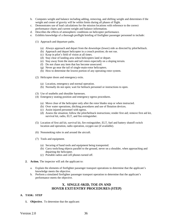- b. Computes weight and balance including adding, removing, and shifting weight and determines if the weight and center of gravity will be within limits during all phases of flight.
- c. Demonstrates use of load calculations for the mission locations with reference to the correct performance charts and current weight and balance information.
- d. Describes the effects of atmospheric conditions on helicopter performance.
- e. Exhibits knowledge of a thorough preflight briefing of firefighter passenger personnel to include:
	- (1) Approach and departure paths.
		- (a) Always approach and depart from the downslope (lower) side as directed by pilot/helitack.
		- (b) Approach and depart helicopter in a crouch position; do not run.
		- (c) Keep in pilot's field of vision at all times.
		- (d) Stay clear of landing area when helicopters land or depart.
		- (e) Stay away from the main and tail rotors especially on a sloping terrain.
		- (f) Do not chase any item that has become unsecured.
		- (g) Never go near the tail of single-main-rotor helicopters.
		- (h) How to determine the lowest portion of any operating rotor system.
	- (2) Helicopter doors and emergency exits.
		- (a) Location, emergency and normal operation.
		- (b) Normally do not open; wait for helitack personnel or instructions to open.
	- (3) Use of seatbelts and shoulder harnesses.
	- (4) Emergency seating position and emergency egress procedures.
		- (a) Move clear of the helicopter only after the rotor blades stop or when instructed.
		- (b) Over water operations, ditching procedures and use of flotation devices.
		- (c) Assist injured personnel with egress.
		- (d) Assess the situation; follow the pilot/helitack instructions; render first aid; remove first aid kit, survival kit, radio, ELT, and fire extinguisher.
	- (5) Location of first aid kit, survival kit, fire extinguisher, ELT, fuel and battery shutoff switch location and operation, radio operation, oxygen use (if available).
	- (6) Nonsmoking rules in and around the aircraft.
	- (7) Tools and equipment.
		- (a) Securing of hand tools and equipment being transported.
		- (b) Carry tools/long objects parallel to the ground, never on a shoulder, when approaching and departing the helicopter.
		- (c) Portable radios and cell phones turned off.
- **2. Action.** The inspector will ask the applicant to:
	- a. Explain the elements of firefighter passenger transport operations to determine that the applicant's knowledge meets the objective.
	- b. Perform a simulated firefighter passenger transport operation to determine that the applicant's performance meets the objective.

### **X. SINGLE-SKID, TOE-IN AND HOVER EXIT/ENTRY PROCEDURES (STEP)**

#### <span id="page-37-1"></span><span id="page-37-0"></span>**A. TASK: STEP**

**1. Objective.** To determine that the applicant: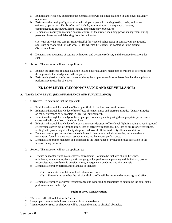- a. Exhibits knowledge by explaining the elements of power on single-skid, toe-in, and hover exit/entry operations.
- b. Performs a thorough preflight briefing with all participants in the single-skid, toe-in, and hover exit/entry operations. This briefing will include, as a minimum, the sequence of events, communications procedures, hand signals, and emergency procedures.
- c. Demonstrates ability to maintain positive control of the aircraft including power management during passenger boarding and debarking from the helicopter:
	- (1) With only the skid toes (or front wheel[s] for wheeled helicopters) in contact with the ground.
	- (2) With only one skid (or side wheel[s] for wheeled helicopters) in contact with the ground.
	- (3) From a hover.
- d. Demonstrates awareness of settling with power and dynamic rollover, and the corrective actions for each.
- **2. Action.** The inspector will ask the applicant to:
	- a. Explain the elements of single-skid, toe-in, and hover exit/entry helicopter operations to determine that the applicant's knowledge meets the objective.
	- b. Perform single-skid, toe-in, and hover exit/entry helicopter operations to determine that the applicant's performance meets the objective.

# **XI. LOW LEVEL (RECONNAISSANCE AND SURVEILLANCE)**

#### <span id="page-38-1"></span><span id="page-38-0"></span>**A. TASK: LOW LEVEL (RECONNAISSANCE AND SURVEILLANCE)**

- **1. Objective.** To determine that the applicant:
	- a. Exhibits a thorough knowledge of helicopter flight in the low level environment.
	- b. Exhibits a thorough knowledge of the effects of temperatures and pressure altitudes (density altitude) on the performance of helicopters in low level environment.
	- c. Exhibits a thorough knowledge of helicopter performance planning using the appropriate performance charts and helicopter load calculation form.
	- d. Exhibits a thorough knowledge of aerodynamic considerations of low level flight including hover-in-ground effect versus hover-out-of-ground effect, loss of effective translational lift, loss of tail rotor effectiveness, settling with power height velocity diagram, and loss of lift due to density altitude conditions.
	- e. Demonstrates proper reconnaissance techniques in determining winds, obstacles, wire avoidance techniques, forced landing areas, escape routes, and helicopter performance.
	- f. Demonstrates proper judgment and understands the importance of evaluating risks in relation to the mission being performed.
- **2. Action.** The inspector will ask the applicant to:
	- a. Discuss helicopter flight in a low level environment. Points to be included should be winds, turbulence, temperatures, density altitude, geography, performance planning and limitations, proper reconnaissance, aerodynamic considerations, emergency procedures, and risk analysis.
	- b. Demonstrate proper performance planning to include:
		- (1) Accurate completion of load calculation forms.
		- (2) Determining whether the mission flight profile will be in-ground or out-of-ground effect.
	- c. Demonstrate proper low level reconnaissance and wind finding techniques to determine the applicant's performance meets the objective.

#### **Night or NVG Considerations**

- 1. Wires are difficult to detect with NVGs.
- 2. Use proper scanning techniques to ensure obstacle avoidance.
- 3. Visual obstacles (such as shadows) will be treated the same as physical obstacles.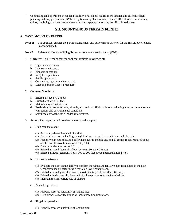4. Conducting tank operations in reduced visibility or at night requires more detailed and extensive flight planning and map preparation. NVG navigation using standard maps can be difficult to see because map colors, symbology, and colored markers used for map preparation may be difficult to discern.

# **XII. MOUNTAINOUS TERRAIN FLIGHT**

#### <span id="page-39-1"></span><span id="page-39-0"></span>**A. TASK: MOUNTAIN FLYING**

- **Note 1:** The applicant ensures the power management and performance criterion for the HOGE power check is accomplished**.**
- **Note 2:** Reference: Mountain Flying Refresher computer-based training (CBT).
- **1. Objective**. To determine that the applicant exhibits knowledge of:
	- a. High reconnaissance.
	- b. Low reconnaissance.
	- c. Pinnacle operations.
	- d. Ridgeline operations.
	- e. Saddle operations.
	- f. Conducting a go-around (wave off).
	- g. Selecting proper takeoff procedure.

#### **2. Common Standards.**

- a. Briefed airspeed  $+10$  knots
- b. Briefed altitude  $\overline{+100}$  feet.
- c. Maintain aircraft within trim.
- d. Establishing a proper attitude, altitude, airspeed, and flight path for conducting a recon commensurate with terrain and environmental conditions.
- e. Stabilized approach with a loaded rotor system.
- 3. **Action.** The inspector will use the common standards plus:
	- a. High reconnaissance.
		- (1) Accurately determine wind direction.
		- (2) Accurately assess the landing zone (LZ) size, axis, surface conditions, and obstacles.
		- (3) Precisely plan routes in and out for maneuver to include any and all escape routes required above and below effective translational lift (ETL).
		- (4) Determine elevation at the LZ.
		- (5) Briefed airspeed (generally flown between 50 and 60 knots).
		- (6) Briefed altitude (generally flown 100 to 200 feet above intended landing site).
	- b. Low reconnaissance.
		- (1) Evaluate the pilot on the ability to confirm the winds and tentative plan formulated in the high reconnaissance by performing a thorough low reconnaissance.
		- (2) Briefed airspeed generally flown 35 to 40 knots (no slower than 30 knots).
		- (3) Briefed altitude generally flown within close proximity to the intended site.
		- (4) Maintain the appropriate rate of closure.
	- c. Pinnacle operations.
		- (1) Properly assesses suitability of landing area.
		- (2) Uses proper takeoff technique without exceeding limitations.
	- d. Ridgeline operations.
		- (1) Properly assesses suitability of landing area.
- Version 2.0 38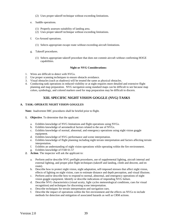- (2) Uses proper takeoff technique without exceeding limitations.
- e. Saddle operations.
	- (1) Properly assesses suitability of landing area.
	- (2) Uses proper takeoff technique without exceeding limitations.
- f. Go-Around operations.
	- (1) Selects appropriate escape route without exceeding aircraft limitations.
- g. Takeoff procedures.
	- (1) Selects appropriate takeoff procedure that does not commit aircraft without confirming HOGE capabilities.

#### **Night or NVG Considerations:**

- 1. Wires are difficult to detect with NVGs.
- 2. Use proper scanning techniques to ensure obstacle avoidance.
- 3. Visual obstacles (such as shadows) will be treated the same as physical obstacles.
- 4. Conducting tank operations in reduced visibility or at night requires more detailed and extensive flight planning and map preparation. NVG navigation using standard maps can be difficult to see because map colors, symbology, and colored markers used for map preparation may be difficult to discern.

## **XIII. SPECIFIC NIGHT VISION GOGGLE (NVG) TASKS**

#### <span id="page-40-1"></span><span id="page-40-0"></span>**A. TASK: OPERATE NIGHT VISION GOGGLES**

**Note:** Inadvertent IMC procedures shall be briefed prior to flight.

- **1. Objective**. To determine that the applicant:
	- a. Exhibits knowledge of NVG limitations and flight operations using NVGs.
	- b. Exhibits knowledge of aeromedical factors related to the use of NVGs.
	- c. Exhibits knowledge of normal, abnormal, and emergency operations using night vision goggle equipment.
	- d. Exhibits knowledge of NVG performance and scene interpretation.
	- e. Exhibits knowledge of flight planning including night terrain interpretation and factors affecting terrain interpretation.
	- f. Exhibits an understanding of night vision operations while operating within the fire environment.
	- g. Exhibits knowledge of FAR 61.57
- **2. Action**. The inspector will ask the applicant to:
	- a. Perform and/or describe NVG preflight procedures, use of supplemental lighting, aircraft internal and external lighting, and proper pilot flight techniques (takeoff and landing, climb and descent, and en route).
	- b. Describe how to protect night vision, night adaptation, self-imposed stresses that affect night vision, effects of lighting on night vision, cues to estimate distance and depth perception, and visual illusions.
	- c. Perform and/or describe how to respond to normal, abnormal, and emergency operations of night vision goggle equipment. Identify or describe indications of impending NVG failure.
	- d. Describe NVG characteristics (visual acuity, light cycles meteorological conditions, cues for visual recognition) and techniques for discerning scene interpretation.
	- e. Describe techniques for terrain interpretation and navigation cues.
	- f. Describe the impact of operations within the fire environment and the effects on NVGs to include methods for detection and mitigation of associated hazards as well as CRM actions.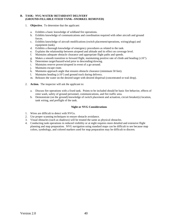#### <span id="page-41-0"></span>**B. TASK: NVG WATER/ RETARDANT DELIVERY (GROUND-FILLABLE FIXED TANK--SNORKEL REMOVED)**

- 1. **Objective.** To determine that the applicant:
	- a. Exhibits a basic knowledge of wildland fire operations.
	- b. Exhibits knowledge of communications and coordination required with other aircraft and ground forces.
	- c. Exhibits knowledge of aircraft modifications (switch placement/operations, wiring/plugs) and equipment (tank).
	- d. Exhibits a thorough knowledge of emergency procedures as related to the tank.
	- e. Explains the relationship between airspeed and altitude and its effect on coverage level.<br>
	f. Maintains adequate obstacle clearance and appropriate flight paths and speeds.
	- Maintains adequate obstacle clearance and appropriate flight paths and speeds.
	- g. Makes a smooth transition to forward flight, maintaining positive rate of climb and heading  $(\pm 10^{\circ})$ .
	- h. Determines target/hazard/wind prior to descending/slowing.
	- i. Maintains reserve power/airspeed in event of a go-around.
	- j. Maintains escape route.
	- k. Maintains approach angle that ensures obstacle clearance (minimum 50 feet).
	- l. Maintains heading  $(\pm 10^{\circ})$  and ground track during delivery.
	- m. Releases the water on the desired target with desired dispersal (concentrated or trail drop).
- 2. **Action.** The inspector will ask the applicant to:
	- a. Discuss fire operations with a fixed tank. Points to be included should be basic fire behavior, effects of rotor wash, safety of ground personnel, communications, and fire traffic area.
	- b. Demonstrate (on the ground) knowledge of switch placement and actuation, circuit breaker(s) location, tank wiring, and preflight of the tank.

#### **Night or NVG Considerations**

- 1. Wires are difficult to detect with NVGs.
- 2. Use proper scanning techniques to ensure obstacle avoidance.
- 3. Visual obstacles (such as shadows) will be treated the same as physical obstacles.
- 4. Conducting tank operations in reduced visibility or at night requires more detailed and extensive flight planning and map preparation. NVG navigation using standard maps can be difficult to see because map colors, symbology, and colored markers used for map preparation may be difficult to discern.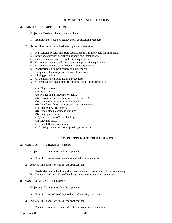## **XIV. AERIAL APPLICATION**

#### <span id="page-42-1"></span><span id="page-42-0"></span>**A. TASK: AERIAL APPLICATION**

- **1. Objective:** To determine that the applicant:
	- a. Exhibits knowledge of agency aerial application procedures.
- **2. Action**. The inspector will ask the applicant to describe:
	- a. Agricultural Federal and State regulations that is applicable for application.
	- b. Spray and spreader bucket components and installations.
	- c. Care and maintenance of application equipment.
	- d. Or demonstrate use and care of personal protective equipment.
	- e. Or demonstrate use of helicopter loading equipment.
	- f. Application equipment calibration procedures.
	- g. Weight and balance procedures and limitations.
	- h. Mixing procedures.
	- i. Or demonstrate ground loading procedures.
	- j. Or demonstrate as appropriate the aerial applications procedures.
		- (1) Flight patterns.
		- (2) Spray turns.
		- (3) Navigating a spray line visually.
		- (4) Navigating a spray line with the use of GPS.
		- (5) Procedure for minimize of spray drift.
		- (6) Low level flying hazards and risk management.
		- (7) Emergency procedures.
		- (8) Spray block layout and marking.
		- (9) Emergency dump.
		- (10)No hover takeoffs and landings.
		- (11)Elevated pads.
		- (12)Side hill spray operations.
		- (13)Upslope and downslope spraying procedures.

# **XV. POSTFLIGHT PROCEDURES**

#### <span id="page-42-3"></span><span id="page-42-2"></span>**A. TASK: AGENCY RAMP (HELIBASE)**

- **1. Objective.** To determine that the applicant:
	- a. Exhibits knowledge of agency ramp/helibase procedures.
- **2. Action.** The inspector will ask the applicant to:
	- a. Establish communication with appropriate agency personnel prior to ramp entry.
	- b. Demonstrate knowledge of hand signals from ramp/helibase personnel.

#### <span id="page-42-4"></span>**B. TASK: AIRCRAFT SECURITY**

- **1. Objective.** To determine that the applicant:
	- a. Exhibits knowledge of required aircraft security measures.
- **2. Action.** The inspector will ask the applicant to:
	- a. Demonstrate how to secure aircraft via two acceptable methods.

 $Version 2.0$  41